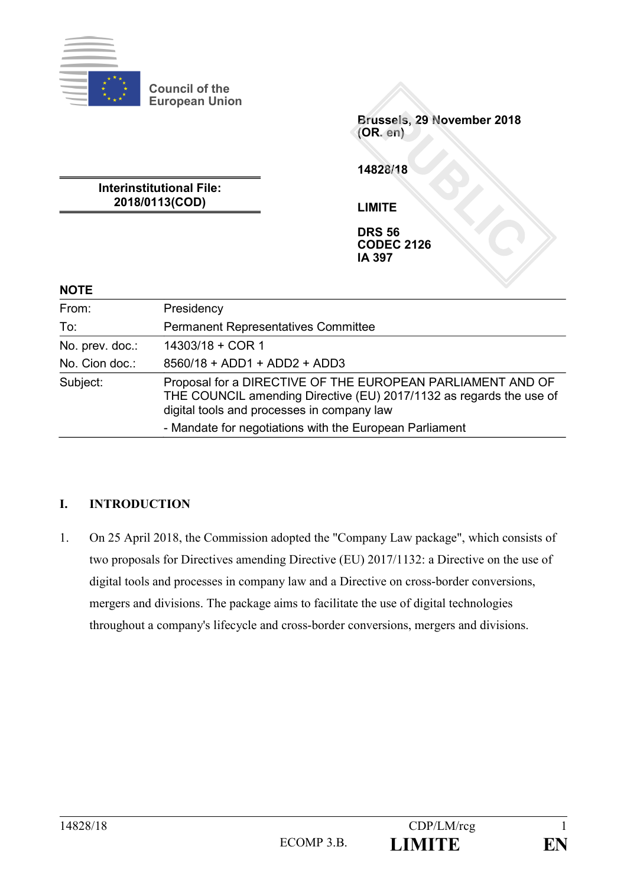

**Council of the European Union**

> **Brussels, 29 November 2018 (OR. en)**

**14828/18**

**Interinstitutional File: 2018/0113(COD)**

**LIMITE**

**DRS 56 CODEC 2126 IA 397**

#### **NOTE**

| From:           | Presidency                                                                                                                                                                      |
|-----------------|---------------------------------------------------------------------------------------------------------------------------------------------------------------------------------|
| To:             | <b>Permanent Representatives Committee</b>                                                                                                                                      |
| No. prev. doc.: | 14303/18 + COR 1                                                                                                                                                                |
| No. Cion doc.:  | 8560/18 + ADD1 + ADD2 + ADD3                                                                                                                                                    |
| Subject:        | Proposal for a DIRECTIVE OF THE EUROPEAN PARLIAMENT AND OF<br>THE COUNCIL amending Directive (EU) 2017/1132 as regards the use of<br>digital tools and processes in company law |
|                 | - Mandate for negotiations with the European Parliament                                                                                                                         |

### **I. INTRODUCTION**

1. On 25 April 2018, the Commission adopted the "Company Law package", which consists of two proposals for Directives amending Directive (EU) 2017/1132: a Directive on the use of digital tools and processes in company law and a Directive on cross-border conversions, mergers and divisions. The package aims to facilitate the use of digital technologies throughout a company's lifecycle and cross-border conversions, mergers and divisions.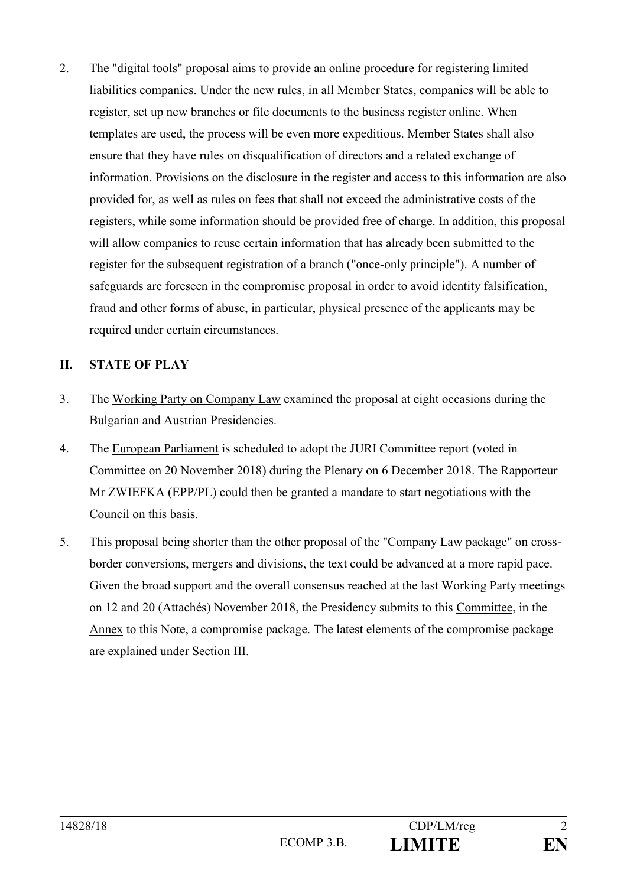2. The "digital tools" proposal aims to provide an online procedure for registering limited liabilities companies. Under the new rules, in all Member States, companies will be able to register, set up new branches or file documents to the business register online. When templates are used, the process will be even more expeditious. Member States shall also ensure that they have rules on disqualification of directors and a related exchange of information. Provisions on the disclosure in the register and access to this information are also provided for, as well as rules on fees that shall not exceed the administrative costs of the registers, while some information should be provided free of charge. In addition, this proposal will allow companies to reuse certain information that has already been submitted to the register for the subsequent registration of a branch ("once-only principle"). A number of safeguards are foreseen in the compromise proposal in order to avoid identity falsification, fraud and other forms of abuse, in particular, physical presence of the applicants may be required under certain circumstances.

#### **II. STATE OF PLAY**

- 3. The Working Party on Company Law examined the proposal at eight occasions during the Bulgarian and Austrian Presidencies.
- 4. The European Parliament is scheduled to adopt the JURI Committee report (voted in Committee on 20 November 2018) during the Plenary on 6 December 2018. The Rapporteur Mr ZWIEFKA (EPP/PL) could then be granted a mandate to start negotiations with the Council on this basis.
- 5. This proposal being shorter than the other proposal of the "Company Law package" on crossborder conversions, mergers and divisions, the text could be advanced at a more rapid pace. Given the broad support and the overall consensus reached at the last Working Party meetings on 12 and 20 (Attachés) November 2018, the Presidency submits to this Committee, in the Annex to this Note, a compromise package. The latest elements of the compromise package are explained under Section III.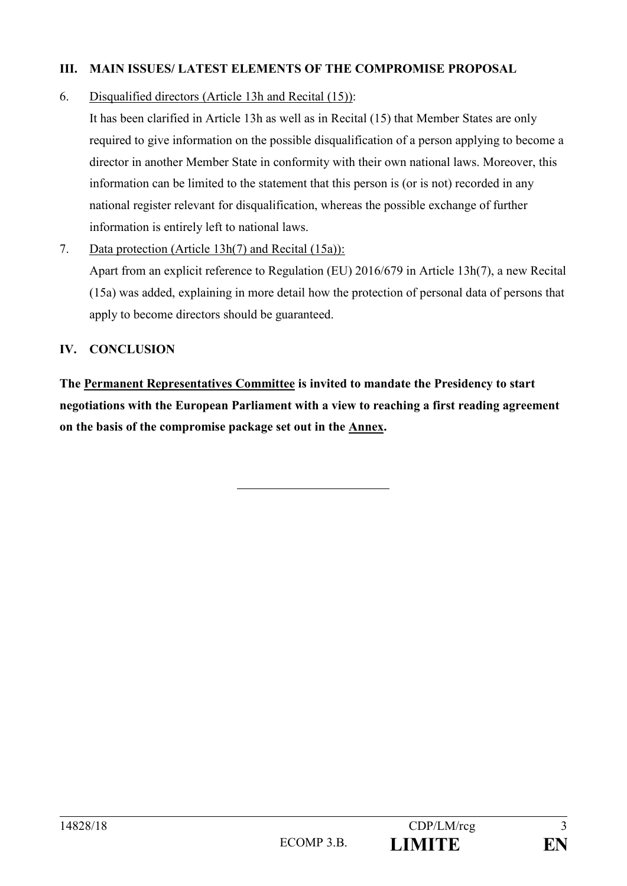### **III. MAIN ISSUES/ LATEST ELEMENTS OF THE COMPROMISE PROPOSAL**

### 6. Disqualified directors (Article 13h and Recital (15)):

It has been clarified in Article 13h as well as in Recital (15) that Member States are only required to give information on the possible disqualification of a person applying to become a director in another Member State in conformity with their own national laws. Moreover, this information can be limited to the statement that this person is (or is not) recorded in any national register relevant for disqualification, whereas the possible exchange of further information is entirely left to national laws.

#### 7. Data protection (Article 13h(7) and Recital (15a)):

Apart from an explicit reference to Regulation (EU) 2016/679 in Article 13h(7), a new Recital (15a) was added, explaining in more detail how the protection of personal data of persons that apply to become directors should be guaranteed.

#### **IV. CONCLUSION**

**The Permanent Representatives Committee is invited to mandate the Presidency to start negotiations with the European Parliament with a view to reaching a first reading agreement on the basis of the compromise package set out in the Annex.**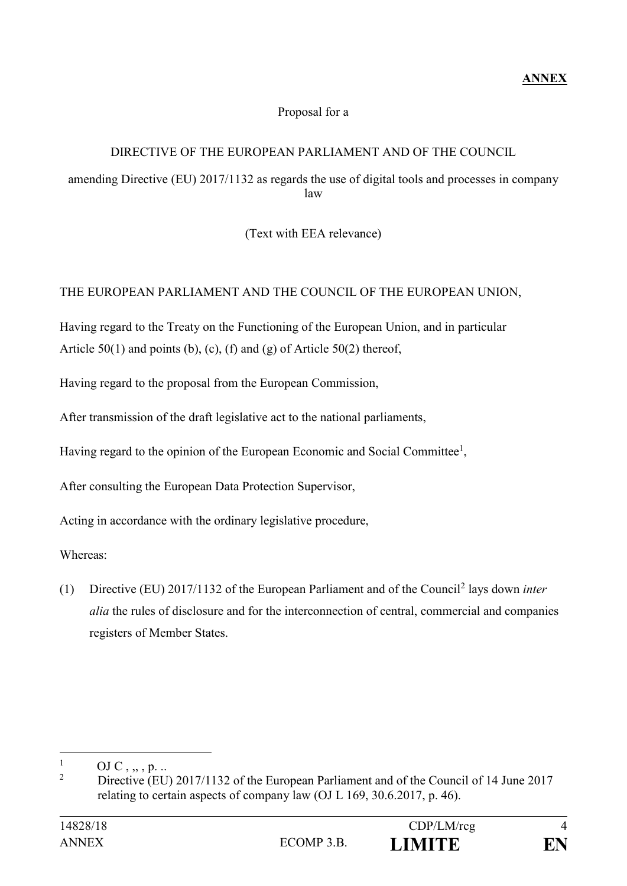# Proposal for a

### DIRECTIVE OF THE EUROPEAN PARLIAMENT AND OF THE COUNCIL

amending Directive (EU) 2017/1132 as regards the use of digital tools and processes in company law

(Text with EEA relevance)

# THE EUROPEAN PARLIAMENT AND THE COUNCIL OF THE EUROPEAN UNION,

Having regard to the Treaty on the Functioning of the European Union, and in particular Article  $50(1)$  and points (b), (c), (f) and (g) of Article  $50(2)$  thereof,

Having regard to the proposal from the European Commission,

After transmission of the draft legislative act to the national parliaments,

Having regard to the opinion of the European Economic and Social Committee<sup>1</sup>,

After consulting the European Data Protection Supervisor,

Acting in accordance with the ordinary legislative procedure,

Whereas:

(1) Directive (EU) 2017/1132 of the European Parliament and of the Council<sup>2</sup> lays down *inter alia* the rules of disclosure and for the interconnection of central, commercial and companies registers of Member States.

 $\mathbf{1}$  $\frac{1}{2}$  OJ C , ..., p. ...

<sup>2</sup> Directive (EU) 2017/1132 of the European Parliament and of the Council of 14 June 2017 relating to certain aspects of company law (OJ L 169, 30.6.2017, p. 46).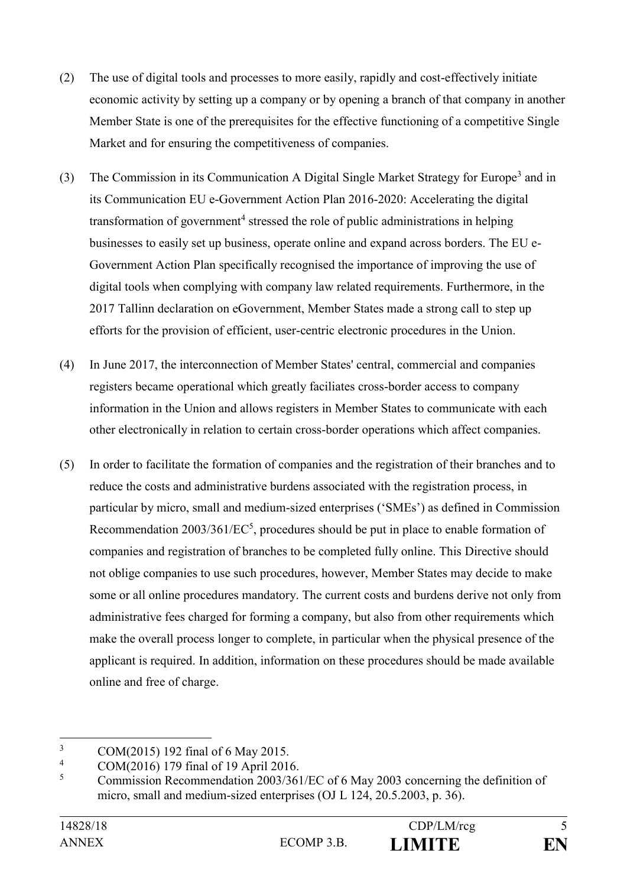- (2) The use of digital tools and processes to more easily, rapidly and cost-effectively initiate economic activity by setting up a company or by opening a branch of that company in another Member State is one of the prerequisites for the effective functioning of a competitive Single Market and for ensuring the competitiveness of companies.
- (3) The Commission in its Communication A Digital Single Market Strategy for Europe<sup>3</sup> and in its Communication EU e-Government Action Plan 2016-2020: Accelerating the digital transformation of government<sup>4</sup> stressed the role of public administrations in helping businesses to easily set up business, operate online and expand across borders. The EU e-Government Action Plan specifically recognised the importance of improving the use of digital tools when complying with company law related requirements. Furthermore, in the 2017 Tallinn declaration on eGovernment, Member States made a strong call to step up efforts for the provision of efficient, user-centric electronic procedures in the Union.
- (4) In June 2017, the interconnection of Member States' central, commercial and companies registers became operational which greatly faciliates cross-border access to company information in the Union and allows registers in Member States to communicate with each other electronically in relation to certain cross-border operations which affect companies.
- (5) In order to facilitate the formation of companies and the registration of their branches and to reduce the costs and administrative burdens associated with the registration process, in particular by micro, small and medium-sized enterprises ('SMEs') as defined in Commission Recommendation  $2003/361/EC^5$ , procedures should be put in place to enable formation of companies and registration of branches to be completed fully online. This Directive should not oblige companies to use such procedures, however, Member States may decide to make some or all online procedures mandatory. The current costs and burdens derive not only from administrative fees charged for forming a company, but also from other requirements which make the overall process longer to complete, in particular when the physical presence of the applicant is required. In addition, information on these procedures should be made available online and free of charge.

 $\overline{3}$  $\frac{3}{4}$  COM(2015) 192 final of 6 May 2015.

 $^{4}$  COM(2016) 179 final of 19 April 2016.

<sup>5</sup> Commission Recommendation 2003/361/EC of 6 May 2003 concerning the definition of micro, small and medium-sized enterprises (OJ L 124, 20.5.2003, p. 36).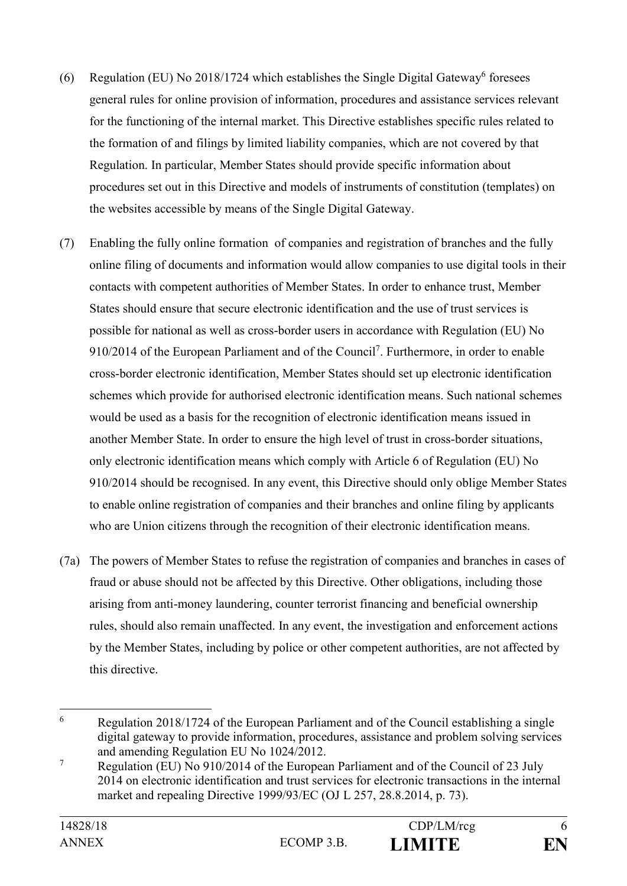- (6) Regulation (EU) No 2018/1724 which establishes the Single Digital Gateway<sup>6</sup> foresees general rules for online provision of information, procedures and assistance services relevant for the functioning of the internal market. This Directive establishes specific rules related to the formation of and filings by limited liability companies, which are not covered by that Regulation. In particular, Member States should provide specific information about procedures set out in this Directive and models of instruments of constitution (templates) on the websites accessible by means of the Single Digital Gateway.
- (7) Enabling the fully online formation of companies and registration of branches and the fully online filing of documents and information would allow companies to use digital tools in their contacts with competent authorities of Member States. In order to enhance trust, Member States should ensure that secure electronic identification and the use of trust services is possible for national as well as cross-border users in accordance with Regulation (EU) No 910/2014 of the European Parliament and of the Council<sup>7</sup> . Furthermore, in order to enable cross-border electronic identification, Member States should set up electronic identification schemes which provide for authorised electronic identification means. Such national schemes would be used as a basis for the recognition of electronic identification means issued in another Member State. In order to ensure the high level of trust in cross-border situations, only electronic identification means which comply with Article 6 of Regulation (EU) No 910/2014 should be recognised. In any event, this Directive should only oblige Member States to enable online registration of companies and their branches and online filing by applicants who are Union citizens through the recognition of their electronic identification means.
- (7a) The powers of Member States to refuse the registration of companies and branches in cases of fraud or abuse should not be affected by this Directive. Other obligations, including those arising from anti-money laundering, counter terrorist financing and beneficial ownership rules, should also remain unaffected. In any event, the investigation and enforcement actions by the Member States, including by police or other competent authorities, are not affected by this directive.

<sup>6</sup> <sup>6</sup> Regulation 2018/1724 of the European Parliament and of the Council establishing a single digital gateway to provide information, procedures, assistance and problem solving services and amending Regulation EU No 1024/2012.

<sup>&</sup>lt;sup>7</sup> Regulation (EU) No 910/2014 of the European Parliament and of the Council of 23 July 2014 on electronic identification and trust services for electronic transactions in the internal market and repealing Directive 1999/93/EC (OJ L 257, 28.8.2014, p. 73).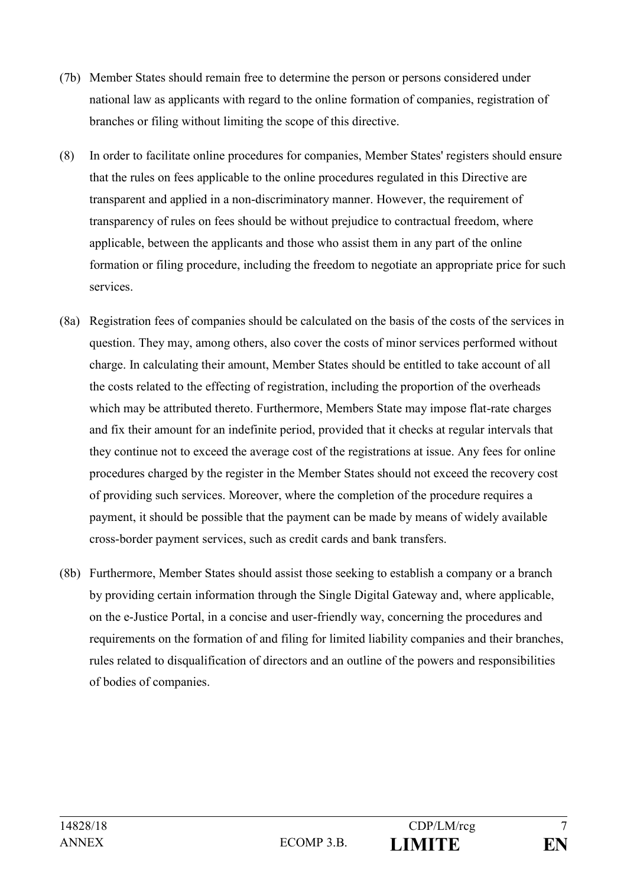- (7b) Member States should remain free to determine the person or persons considered under national law as applicants with regard to the online formation of companies, registration of branches or filing without limiting the scope of this directive.
- (8) In order to facilitate online procedures for companies, Member States' registers should ensure that the rules on fees applicable to the online procedures regulated in this Directive are transparent and applied in a non-discriminatory manner. However, the requirement of transparency of rules on fees should be without prejudice to contractual freedom, where applicable, between the applicants and those who assist them in any part of the online formation or filing procedure, including the freedom to negotiate an appropriate price for such services.
- (8a) Registration fees of companies should be calculated on the basis of the costs of the services in question. They may, among others, also cover the costs of minor services performed without charge. In calculating their amount, Member States should be entitled to take account of all the costs related to the effecting of registration, including the proportion of the overheads which may be attributed thereto. Furthermore, Members State may impose flat-rate charges and fix their amount for an indefinite period, provided that it checks at regular intervals that they continue not to exceed the average cost of the registrations at issue. Any fees for online procedures charged by the register in the Member States should not exceed the recovery cost of providing such services. Moreover, where the completion of the procedure requires a payment, it should be possible that the payment can be made by means of widely available cross-border payment services, such as credit cards and bank transfers.
- (8b) Furthermore, Member States should assist those seeking to establish a company or a branch by providing certain information through the Single Digital Gateway and, where applicable, on the e-Justice Portal, in a concise and user-friendly way, concerning the procedures and requirements on the formation of and filing for limited liability companies and their branches, rules related to disqualification of directors and an outline of the powers and responsibilities of bodies of companies.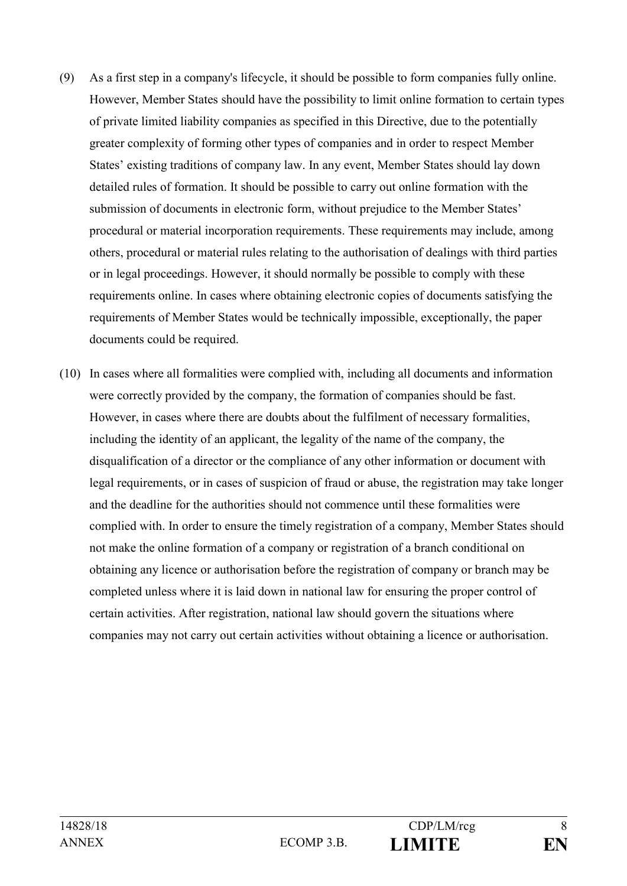- (9) As a first step in a company's lifecycle, it should be possible to form companies fully online. However, Member States should have the possibility to limit online formation to certain types of private limited liability companies as specified in this Directive, due to the potentially greater complexity of forming other types of companies and in order to respect Member States' existing traditions of company law. In any event, Member States should lay down detailed rules of formation. It should be possible to carry out online formation with the submission of documents in electronic form, without prejudice to the Member States' procedural or material incorporation requirements. These requirements may include, among others, procedural or material rules relating to the authorisation of dealings with third parties or in legal proceedings. However, it should normally be possible to comply with these requirements online. In cases where obtaining electronic copies of documents satisfying the requirements of Member States would be technically impossible, exceptionally, the paper documents could be required.
- (10) In cases where all formalities were complied with, including all documents and information were correctly provided by the company, the formation of companies should be fast. However, in cases where there are doubts about the fulfilment of necessary formalities, including the identity of an applicant, the legality of the name of the company, the disqualification of a director or the compliance of any other information or document with legal requirements, or in cases of suspicion of fraud or abuse, the registration may take longer and the deadline for the authorities should not commence until these formalities were complied with. In order to ensure the timely registration of a company, Member States should not make the online formation of a company or registration of a branch conditional on obtaining any licence or authorisation before the registration of company or branch may be completed unless where it is laid down in national law for ensuring the proper control of certain activities. After registration, national law should govern the situations where companies may not carry out certain activities without obtaining a licence or authorisation.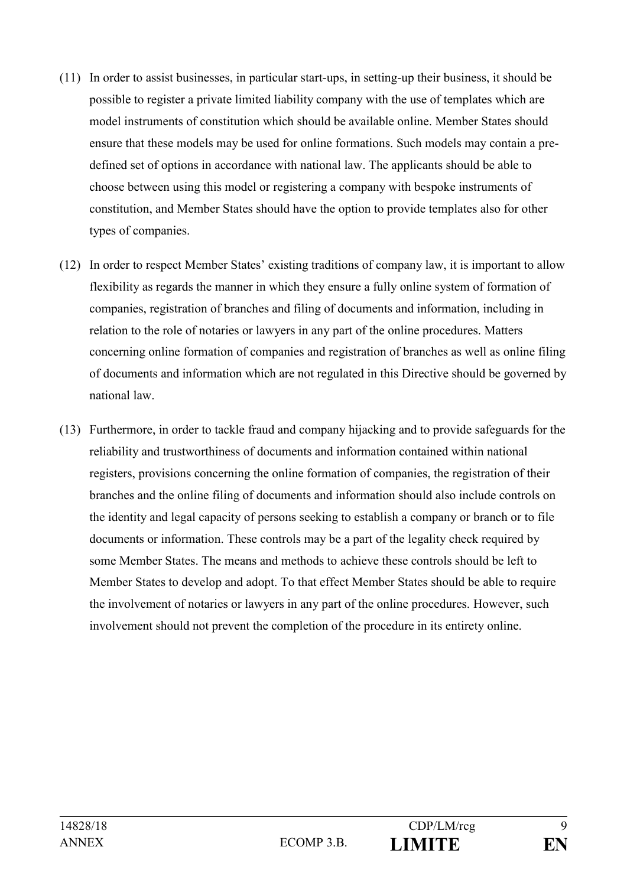- (11) In order to assist businesses, in particular start-ups, in setting-up their business, it should be possible to register a private limited liability company with the use of templates which are model instruments of constitution which should be available online. Member States should ensure that these models may be used for online formations. Such models may contain a predefined set of options in accordance with national law. The applicants should be able to choose between using this model or registering a company with bespoke instruments of constitution, and Member States should have the option to provide templates also for other types of companies.
- (12) In order to respect Member States' existing traditions of company law, it is important to allow flexibility as regards the manner in which they ensure a fully online system of formation of companies, registration of branches and filing of documents and information, including in relation to the role of notaries or lawyers in any part of the online procedures. Matters concerning online formation of companies and registration of branches as well as online filing of documents and information which are not regulated in this Directive should be governed by national law.
- (13) Furthermore, in order to tackle fraud and company hijacking and to provide safeguards for the reliability and trustworthiness of documents and information contained within national registers, provisions concerning the online formation of companies, the registration of their branches and the online filing of documents and information should also include controls on the identity and legal capacity of persons seeking to establish a company or branch or to file documents or information. These controls may be a part of the legality check required by some Member States. The means and methods to achieve these controls should be left to Member States to develop and adopt. To that effect Member States should be able to require the involvement of notaries or lawyers in any part of the online procedures. However, such involvement should not prevent the completion of the procedure in its entirety online.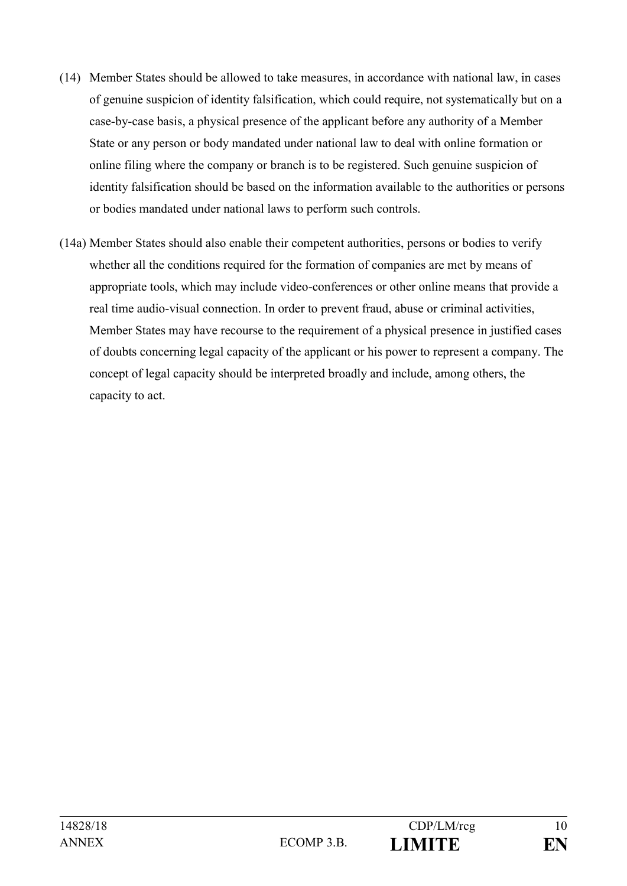- (14) Member States should be allowed to take measures, in accordance with national law, in cases of genuine suspicion of identity falsification, which could require, not systematically but on a case-by-case basis, a physical presence of the applicant before any authority of a Member State or any person or body mandated under national law to deal with online formation or online filing where the company or branch is to be registered. Such genuine suspicion of identity falsification should be based on the information available to the authorities or persons or bodies mandated under national laws to perform such controls.
- (14a) Member States should also enable their competent authorities, persons or bodies to verify whether all the conditions required for the formation of companies are met by means of appropriate tools, which may include video-conferences or other online means that provide a real time audio-visual connection. In order to prevent fraud, abuse or criminal activities, Member States may have recourse to the requirement of a physical presence in justified cases of doubts concerning legal capacity of the applicant or his power to represent a company. The concept of legal capacity should be interpreted broadly and include, among others, the capacity to act.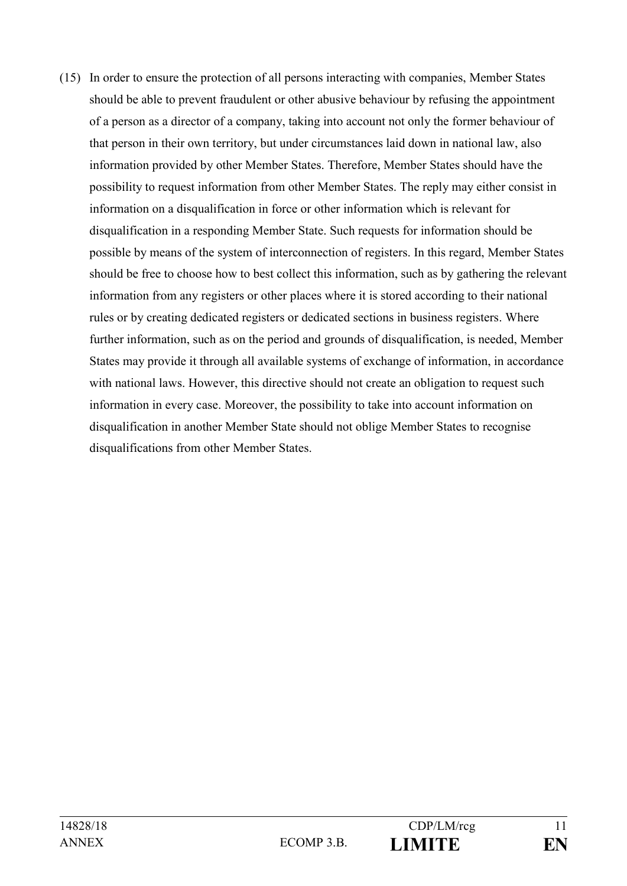(15) In order to ensure the protection of all persons interacting with companies, Member States should be able to prevent fraudulent or other abusive behaviour by refusing the appointment of a person as a director of a company, taking into account not only the former behaviour of that person in their own territory, but under circumstances laid down in national law, also information provided by other Member States. Therefore, Member States should have the possibility to request information from other Member States. The reply may either consist in information on a disqualification in force or other information which is relevant for disqualification in a responding Member State. Such requests for information should be possible by means of the system of interconnection of registers. In this regard, Member States should be free to choose how to best collect this information, such as by gathering the relevant information from any registers or other places where it is stored according to their national rules or by creating dedicated registers or dedicated sections in business registers. Where further information, such as on the period and grounds of disqualification, is needed, Member States may provide it through all available systems of exchange of information, in accordance with national laws. However, this directive should not create an obligation to request such information in every case. Moreover, the possibility to take into account information on disqualification in another Member State should not oblige Member States to recognise disqualifications from other Member States.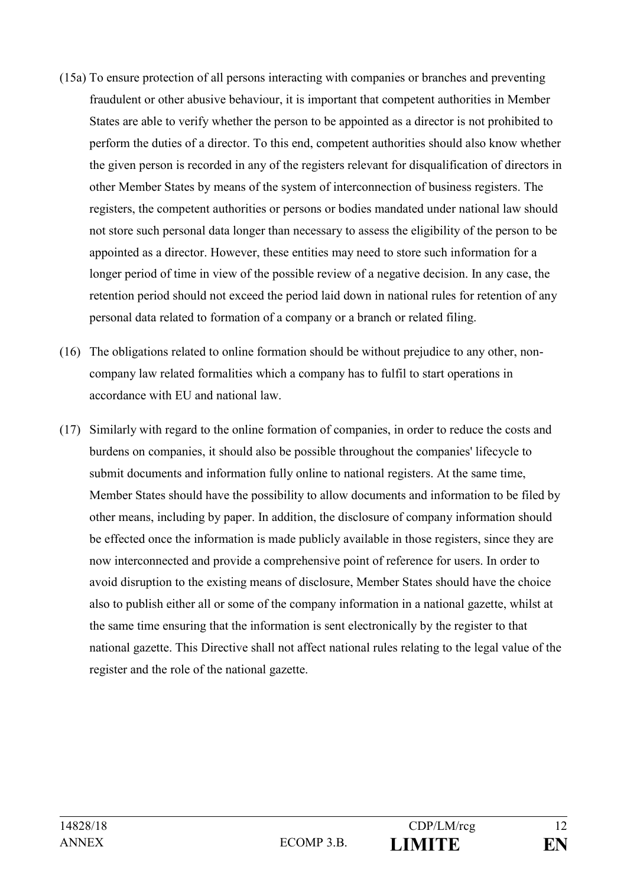- (15a) To ensure protection of all persons interacting with companies or branches and preventing fraudulent or other abusive behaviour, it is important that competent authorities in Member States are able to verify whether the person to be appointed as a director is not prohibited to perform the duties of a director. To this end, competent authorities should also know whether the given person is recorded in any of the registers relevant for disqualification of directors in other Member States by means of the system of interconnection of business registers. The registers, the competent authorities or persons or bodies mandated under national law should not store such personal data longer than necessary to assess the eligibility of the person to be appointed as a director. However, these entities may need to store such information for a longer period of time in view of the possible review of a negative decision. In any case, the retention period should not exceed the period laid down in national rules for retention of any personal data related to formation of a company or a branch or related filing.
- (16) The obligations related to online formation should be without prejudice to any other, noncompany law related formalities which a company has to fulfil to start operations in accordance with EU and national law.
- (17) Similarly with regard to the online formation of companies, in order to reduce the costs and burdens on companies, it should also be possible throughout the companies' lifecycle to submit documents and information fully online to national registers. At the same time, Member States should have the possibility to allow documents and information to be filed by other means, including by paper. In addition, the disclosure of company information should be effected once the information is made publicly available in those registers, since they are now interconnected and provide a comprehensive point of reference for users. In order to avoid disruption to the existing means of disclosure, Member States should have the choice also to publish either all or some of the company information in a national gazette, whilst at the same time ensuring that the information is sent electronically by the register to that national gazette. This Directive shall not affect national rules relating to the legal value of the register and the role of the national gazette.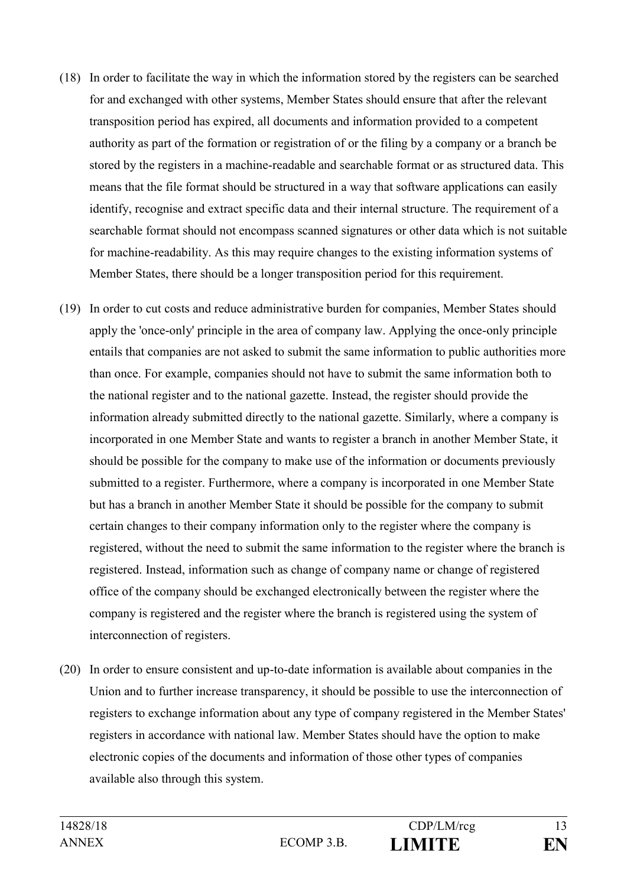- (18) In order to facilitate the way in which the information stored by the registers can be searched for and exchanged with other systems, Member States should ensure that after the relevant transposition period has expired, all documents and information provided to a competent authority as part of the formation or registration of or the filing by a company or a branch be stored by the registers in a machine-readable and searchable format or as structured data. This means that the file format should be structured in a way that software applications can easily identify, recognise and extract specific data and their internal structure. The requirement of a searchable format should not encompass scanned signatures or other data which is not suitable for machine-readability. As this may require changes to the existing information systems of Member States, there should be a longer transposition period for this requirement.
- (19) In order to cut costs and reduce administrative burden for companies, Member States should apply the 'once-only' principle in the area of company law. Applying the once-only principle entails that companies are not asked to submit the same information to public authorities more than once. For example, companies should not have to submit the same information both to the national register and to the national gazette. Instead, the register should provide the information already submitted directly to the national gazette. Similarly, where a company is incorporated in one Member State and wants to register a branch in another Member State, it should be possible for the company to make use of the information or documents previously submitted to a register. Furthermore, where a company is incorporated in one Member State but has a branch in another Member State it should be possible for the company to submit certain changes to their company information only to the register where the company is registered, without the need to submit the same information to the register where the branch is registered. Instead, information such as change of company name or change of registered office of the company should be exchanged electronically between the register where the company is registered and the register where the branch is registered using the system of interconnection of registers.
- (20) In order to ensure consistent and up-to-date information is available about companies in the Union and to further increase transparency, it should be possible to use the interconnection of registers to exchange information about any type of company registered in the Member States' registers in accordance with national law. Member States should have the option to make electronic copies of the documents and information of those other types of companies available also through this system.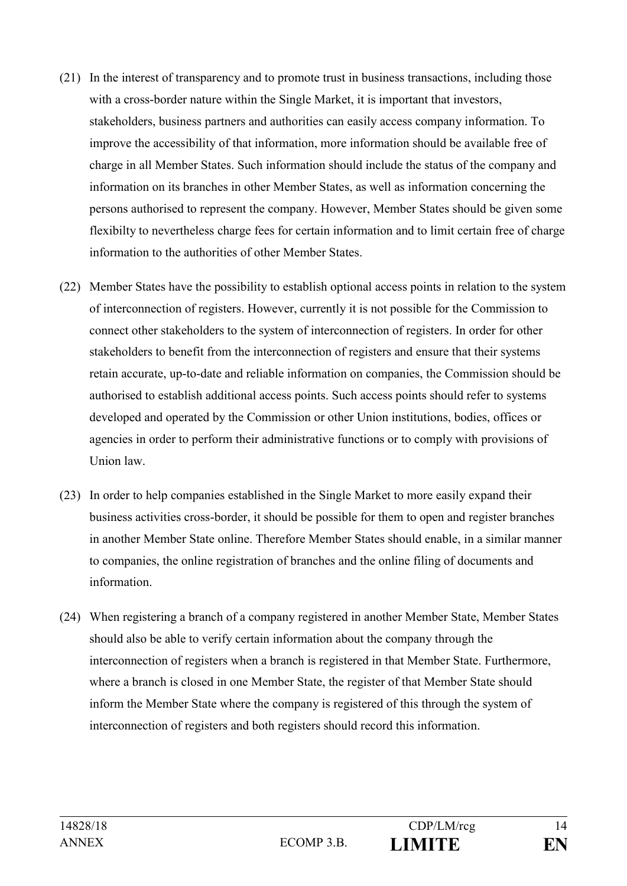- (21) In the interest of transparency and to promote trust in business transactions, including those with a cross-border nature within the Single Market, it is important that investors, stakeholders, business partners and authorities can easily access company information. To improve the accessibility of that information, more information should be available free of charge in all Member States. Such information should include the status of the company and information on its branches in other Member States, as well as information concerning the persons authorised to represent the company. However, Member States should be given some flexibilty to nevertheless charge fees for certain information and to limit certain free of charge information to the authorities of other Member States.
- (22) Member States have the possibility to establish optional access points in relation to the system of interconnection of registers. However, currently it is not possible for the Commission to connect other stakeholders to the system of interconnection of registers. In order for other stakeholders to benefit from the interconnection of registers and ensure that their systems retain accurate, up-to-date and reliable information on companies, the Commission should be authorised to establish additional access points. Such access points should refer to systems developed and operated by the Commission or other Union institutions, bodies, offices or agencies in order to perform their administrative functions or to comply with provisions of Union law.
- (23) In order to help companies established in the Single Market to more easily expand their business activities cross-border, it should be possible for them to open and register branches in another Member State online. Therefore Member States should enable, in a similar manner to companies, the online registration of branches and the online filing of documents and information.
- (24) When registering a branch of a company registered in another Member State, Member States should also be able to verify certain information about the company through the interconnection of registers when a branch is registered in that Member State. Furthermore, where a branch is closed in one Member State, the register of that Member State should inform the Member State where the company is registered of this through the system of interconnection of registers and both registers should record this information.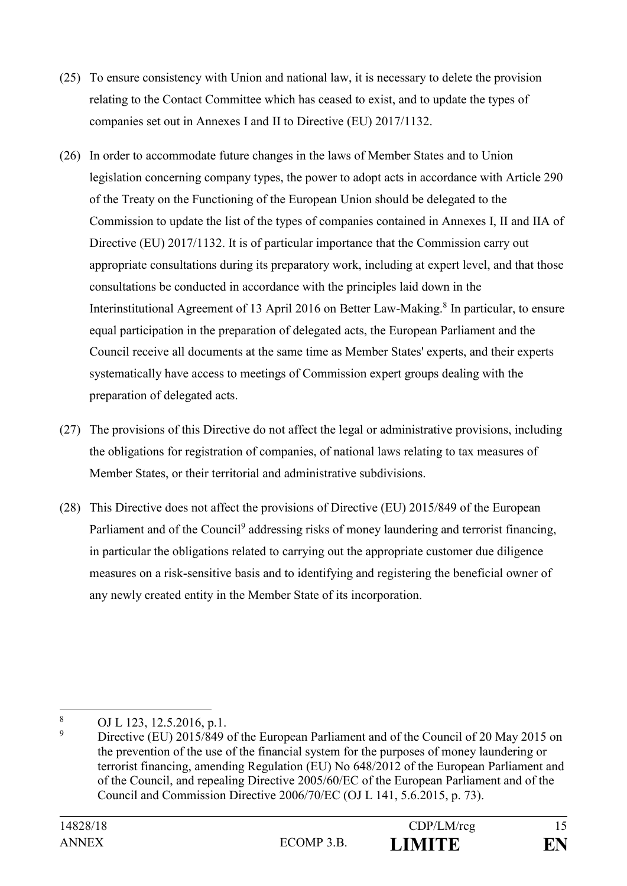- (25) To ensure consistency with Union and national law, it is necessary to delete the provision relating to the Contact Committee which has ceased to exist, and to update the types of companies set out in Annexes I and II to Directive (EU) 2017/1132.
- (26) In order to accommodate future changes in the laws of Member States and to Union legislation concerning company types, the power to adopt acts in accordance with Article 290 of the Treaty on the Functioning of the European Union should be delegated to the Commission to update the list of the types of companies contained in Annexes I, II and IIA of Directive (EU) 2017/1132. It is of particular importance that the Commission carry out appropriate consultations during its preparatory work, including at expert level, and that those consultations be conducted in accordance with the principles laid down in the Interinstitutional Agreement of 13 April 2016 on Better Law-Making.<sup>8</sup> In particular, to ensure equal participation in the preparation of delegated acts, the European Parliament and the Council receive all documents at the same time as Member States' experts, and their experts systematically have access to meetings of Commission expert groups dealing with the preparation of delegated acts.
- (27) The provisions of this Directive do not affect the legal or administrative provisions, including the obligations for registration of companies, of national laws relating to tax measures of Member States, or their territorial and administrative subdivisions.
- (28) This Directive does not affect the provisions of Directive (EU) 2015/849 of the European Parliament and of the Council<sup>9</sup> addressing risks of money laundering and terrorist financing, in particular the obligations related to carrying out the appropriate customer due diligence measures on a risk-sensitive basis and to identifying and registering the beneficial owner of any newly created entity in the Member State of its incorporation.

<sup>8</sup> <sup>8</sup> OJ L 123, 12.5.2016, p.1.

<sup>9</sup> Directive (EU) 2015/849 of the European Parliament and of the Council of 20 May 2015 on the prevention of the use of the financial system for the purposes of money laundering or terrorist financing, amending Regulation (EU) No 648/2012 of the European Parliament and of the Council, and repealing Directive 2005/60/EC of the European Parliament and of the Council and Commission Directive 2006/70/EC (OJ L 141, 5.6.2015, p. 73).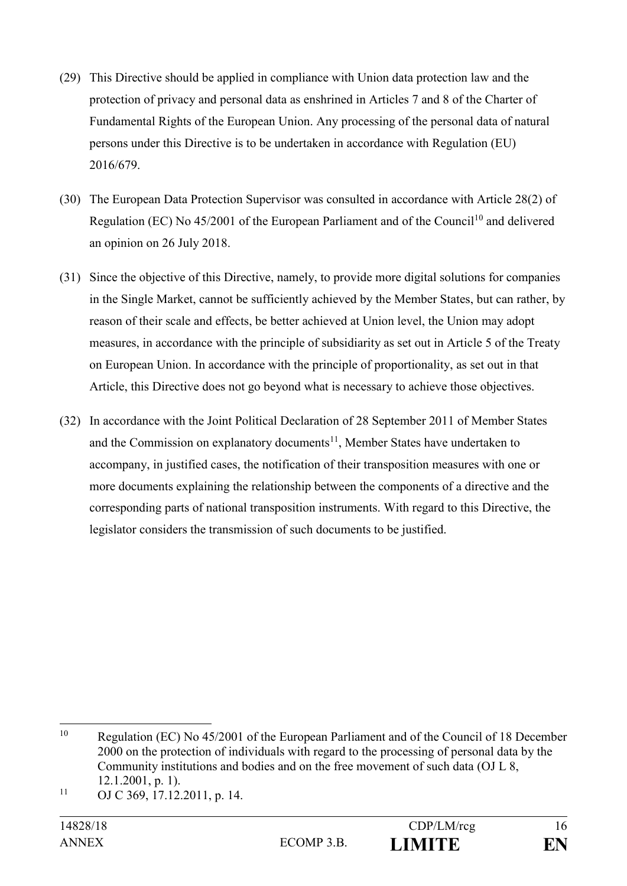- (29) This Directive should be applied in compliance with Union data protection law and the protection of privacy and personal data as enshrined in Articles 7 and 8 of the Charter of Fundamental Rights of the European Union. Any processing of the personal data of natural persons under this Directive is to be undertaken in accordance with Regulation (EU) 2016/679.
- (30) The European Data Protection Supervisor was consulted in accordance with Article 28(2) of Regulation (EC) No  $45/2001$  of the European Parliament and of the Council<sup>10</sup> and delivered an opinion on 26 July 2018.
- (31) Since the objective of this Directive, namely, to provide more digital solutions for companies in the Single Market, cannot be sufficiently achieved by the Member States, but can rather, by reason of their scale and effects, be better achieved at Union level, the Union may adopt measures, in accordance with the principle of subsidiarity as set out in Article 5 of the Treaty on European Union. In accordance with the principle of proportionality, as set out in that Article, this Directive does not go beyond what is necessary to achieve those objectives.
- (32) In accordance with the Joint Political Declaration of 28 September 2011 of Member States and the Commission on explanatory documents<sup>11</sup>, Member States have undertaken to accompany, in justified cases, the notification of their transposition measures with one or more documents explaining the relationship between the components of a directive and the corresponding parts of national transposition instruments. With regard to this Directive, the legislator considers the transmission of such documents to be justified.

 $10$ Regulation (EC) No 45/2001 of the European Parliament and of the Council of 18 December 2000 on the protection of individuals with regard to the processing of personal data by the Community institutions and bodies and on the free movement of such data (OJ L 8, 12.1.2001, p. 1).

 $11$  OJ C 369, 17.12.2011, p. 14.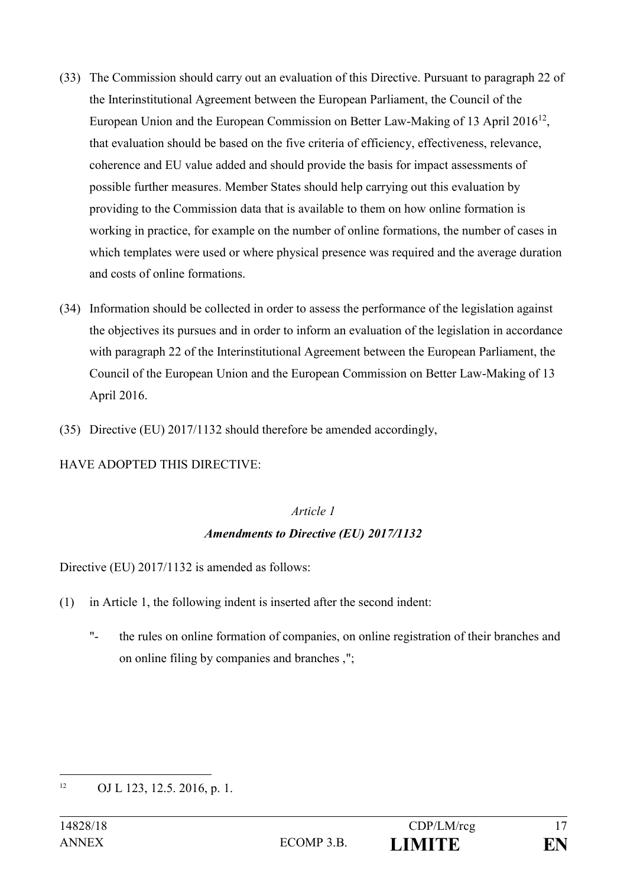- (33) The Commission should carry out an evaluation of this Directive. Pursuant to paragraph 22 of the Interinstitutional Agreement between the European Parliament, the Council of the European Union and the European Commission on Better Law-Making of 13 April 2016<sup>12</sup>, that evaluation should be based on the five criteria of efficiency, effectiveness, relevance, coherence and EU value added and should provide the basis for impact assessments of possible further measures. Member States should help carrying out this evaluation by providing to the Commission data that is available to them on how online formation is working in practice, for example on the number of online formations, the number of cases in which templates were used or where physical presence was required and the average duration and costs of online formations.
- (34) Information should be collected in order to assess the performance of the legislation against the objectives its pursues and in order to inform an evaluation of the legislation in accordance with paragraph 22 of the Interinstitutional Agreement between the European Parliament, the Council of the European Union and the European Commission on Better Law-Making of 13 April 2016.
- (35) Directive (EU) 2017/1132 should therefore be amended accordingly,

### HAVE ADOPTED THIS DIRECTIVE:

### *Article 1*

### *Amendments to Directive (EU) 2017/1132*

Directive (EU) 2017/1132 is amended as follows:

- (1) in Article 1, the following indent is inserted after the second indent:
	- "- the rules on online formation of companies, on online registration of their branches and on online filing by companies and branches ,";

<sup>&</sup>lt;u>.</u> <sup>12</sup> OJ L 123, 12.5. 2016, p. 1.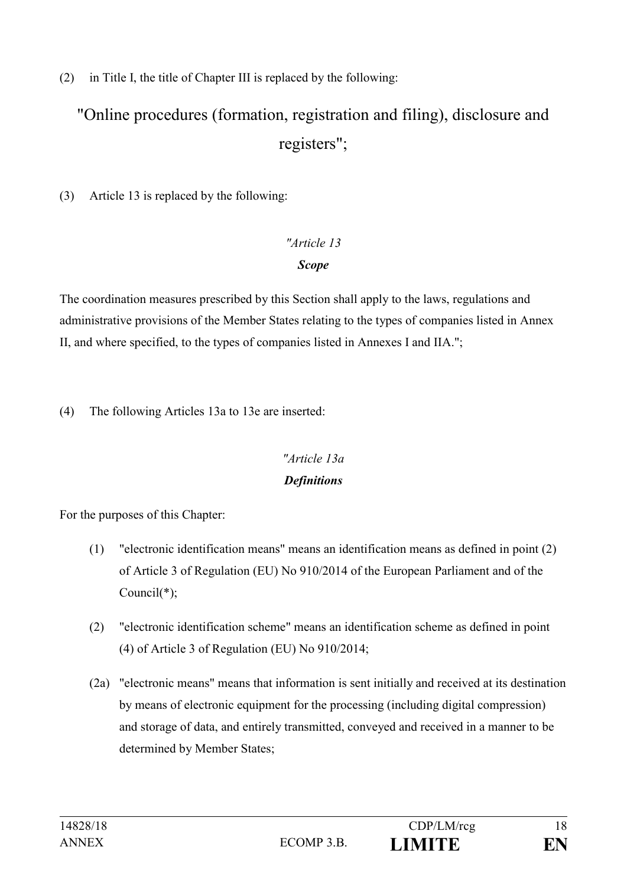(2) in Title I, the title of Chapter III is replaced by the following:

# "Online procedures (formation, registration and filing), disclosure and registers";

(3) Article 13 is replaced by the following:

# *"Article 13 Scope*

The coordination measures prescribed by this Section shall apply to the laws, regulations and administrative provisions of the Member States relating to the types of companies listed in Annex II, and where specified, to the types of companies listed in Annexes I and IIA.";

(4) The following Articles 13a to 13e are inserted:

# *"Article 13a Definitions*

For the purposes of this Chapter:

- (1) "electronic identification means" means an identification means as defined in point (2) of Article 3 of Regulation (EU) No 910/2014 of the European Parliament and of the Council(\*);
- (2) "electronic identification scheme" means an identification scheme as defined in point (4) of Article 3 of Regulation (EU) No 910/2014;
- (2a) "electronic means" means that information is sent initially and received at its destination by means of electronic equipment for the processing (including digital compression) and storage of data, and entirely transmitted, conveyed and received in a manner to be determined by Member States;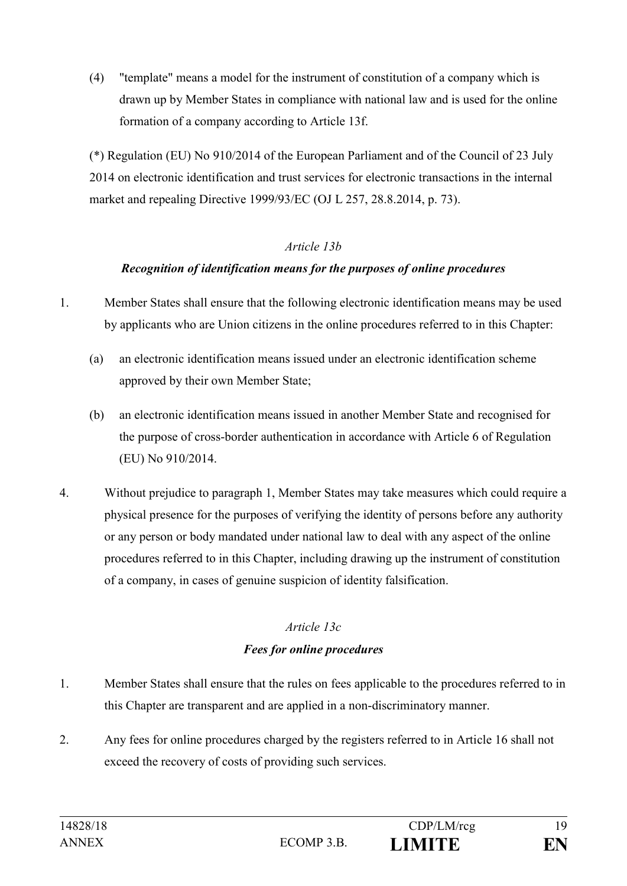(4) "template" means a model for the instrument of constitution of a company which is drawn up by Member States in compliance with national law and is used for the online formation of a company according to Article 13f.

(\*) Regulation (EU) No 910/2014 of the European Parliament and of the Council of 23 July 2014 on electronic identification and trust services for electronic transactions in the internal market and repealing Directive 1999/93/EC (OJ L 257, 28.8.2014, p. 73).

#### *Article 13b*

### *Recognition of identification means for the purposes of online procedures*

- 1. Member States shall ensure that the following electronic identification means may be used by applicants who are Union citizens in the online procedures referred to in this Chapter:
	- (a) an electronic identification means issued under an electronic identification scheme approved by their own Member State;
	- (b) an electronic identification means issued in another Member State and recognised for the purpose of cross-border authentication in accordance with Article 6 of Regulation (EU) No 910/2014.
- 4. Without prejudice to paragraph 1, Member States may take measures which could require a physical presence for the purposes of verifying the identity of persons before any authority or any person or body mandated under national law to deal with any aspect of the online procedures referred to in this Chapter, including drawing up the instrument of constitution of a company, in cases of genuine suspicion of identity falsification.

# *Article 13c Fees for online procedures*

- 1. Member States shall ensure that the rules on fees applicable to the procedures referred to in this Chapter are transparent and are applied in a non-discriminatory manner.
- 2. Any fees for online procedures charged by the registers referred to in Article 16 shall not exceed the recovery of costs of providing such services.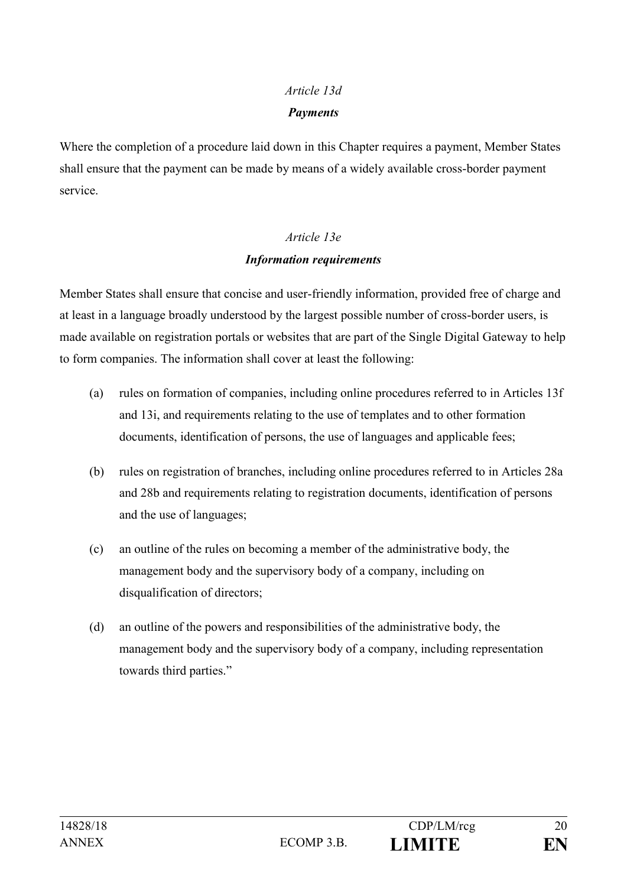# *Article 13d Payments*

Where the completion of a procedure laid down in this Chapter requires a payment, Member States shall ensure that the payment can be made by means of a widely available cross-border payment service.

# *Article 13e Information requirements*

Member States shall ensure that concise and user-friendly information, provided free of charge and at least in a language broadly understood by the largest possible number of cross-border users, is made available on registration portals or websites that are part of the Single Digital Gateway to help to form companies. The information shall cover at least the following:

- (a) rules on formation of companies, including online procedures referred to in Articles 13f and 13i, and requirements relating to the use of templates and to other formation documents, identification of persons, the use of languages and applicable fees;
- (b) rules on registration of branches, including online procedures referred to in Articles 28a and 28b and requirements relating to registration documents, identification of persons and the use of languages;
- (c) an outline of the rules on becoming a member of the administrative body, the management body and the supervisory body of a company, including on disqualification of directors;
- (d) an outline of the powers and responsibilities of the administrative body, the management body and the supervisory body of a company, including representation towards third parties."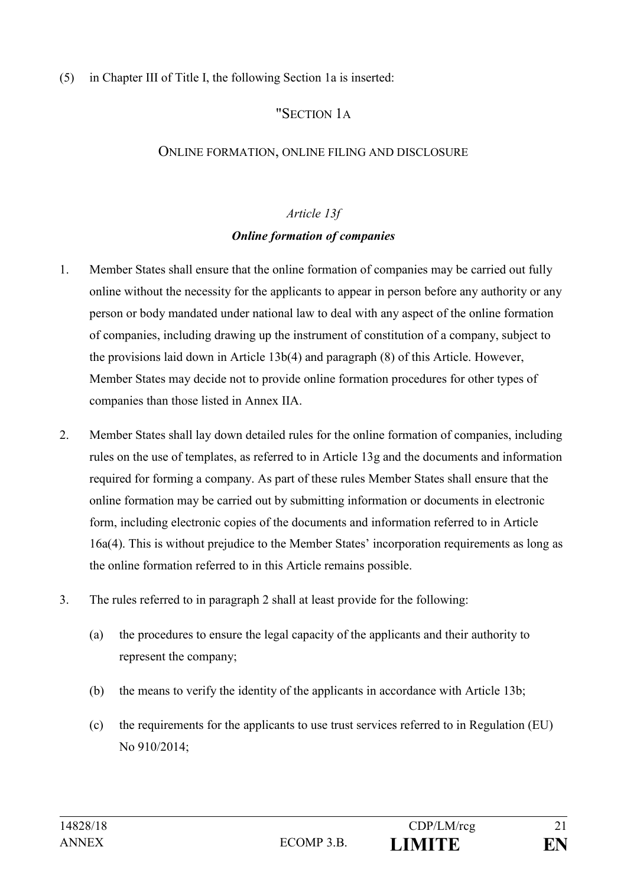#### (5) in Chapter III of Title I, the following Section 1a is inserted:

# "SECTION 1A

#### ONLINE FORMATION, ONLINE FILING AND DISCLOSURE

#### *Article 13f*

### *Online formation of companies*

- 1. Member States shall ensure that the online formation of companies may be carried out fully online without the necessity for the applicants to appear in person before any authority or any person or body mandated under national law to deal with any aspect of the online formation of companies, including drawing up the instrument of constitution of a company, subject to the provisions laid down in Article 13b(4) and paragraph (8) of this Article. However, Member States may decide not to provide online formation procedures for other types of companies than those listed in Annex IIA.
- 2. Member States shall lay down detailed rules for the online formation of companies, including rules on the use of templates, as referred to in Article 13g and the documents and information required for forming a company. As part of these rules Member States shall ensure that the online formation may be carried out by submitting information or documents in electronic form, including electronic copies of the documents and information referred to in Article 16a(4). This is without prejudice to the Member States' incorporation requirements as long as the online formation referred to in this Article remains possible.
- 3. The rules referred to in paragraph 2 shall at least provide for the following:
	- (a) the procedures to ensure the legal capacity of the applicants and their authority to represent the company;
	- (b) the means to verify the identity of the applicants in accordance with Article 13b;
	- (c) the requirements for the applicants to use trust services referred to in Regulation (EU) No 910/2014;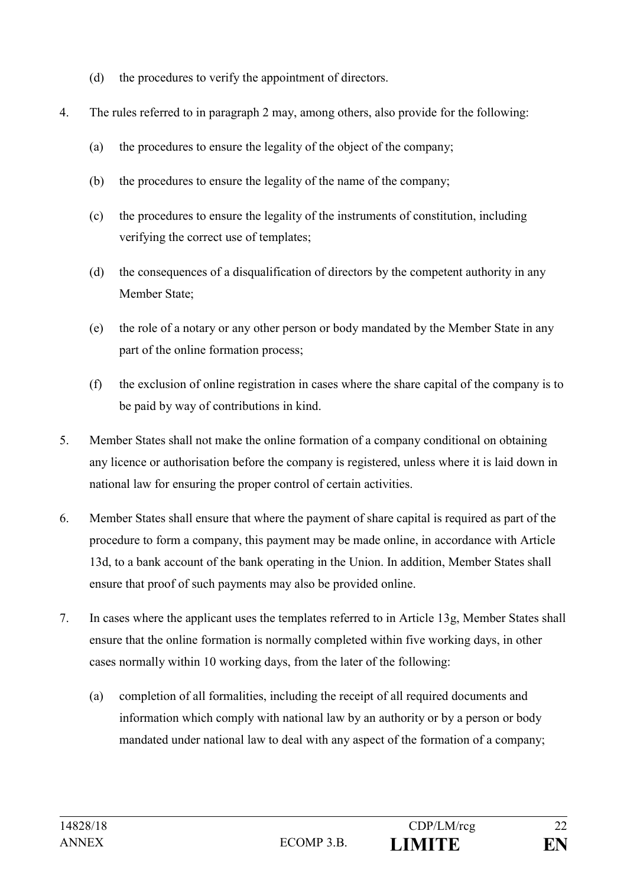- (d) the procedures to verify the appointment of directors.
- 4. The rules referred to in paragraph 2 may, among others, also provide for the following:
	- (a) the procedures to ensure the legality of the object of the company;
	- (b) the procedures to ensure the legality of the name of the company;
	- (c) the procedures to ensure the legality of the instruments of constitution, including verifying the correct use of templates;
	- (d) the consequences of a disqualification of directors by the competent authority in any Member State;
	- (e) the role of a notary or any other person or body mandated by the Member State in any part of the online formation process;
	- (f) the exclusion of online registration in cases where the share capital of the company is to be paid by way of contributions in kind.
- 5. Member States shall not make the online formation of a company conditional on obtaining any licence or authorisation before the company is registered, unless where it is laid down in national law for ensuring the proper control of certain activities.
- 6. Member States shall ensure that where the payment of share capital is required as part of the procedure to form a company, this payment may be made online, in accordance with Article 13d, to a bank account of the bank operating in the Union. In addition, Member States shall ensure that proof of such payments may also be provided online.
- 7. In cases where the applicant uses the templates referred to in Article 13g, Member States shall ensure that the online formation is normally completed within five working days, in other cases normally within 10 working days, from the later of the following:
	- (a) completion of all formalities, including the receipt of all required documents and information which comply with national law by an authority or by a person or body mandated under national law to deal with any aspect of the formation of a company;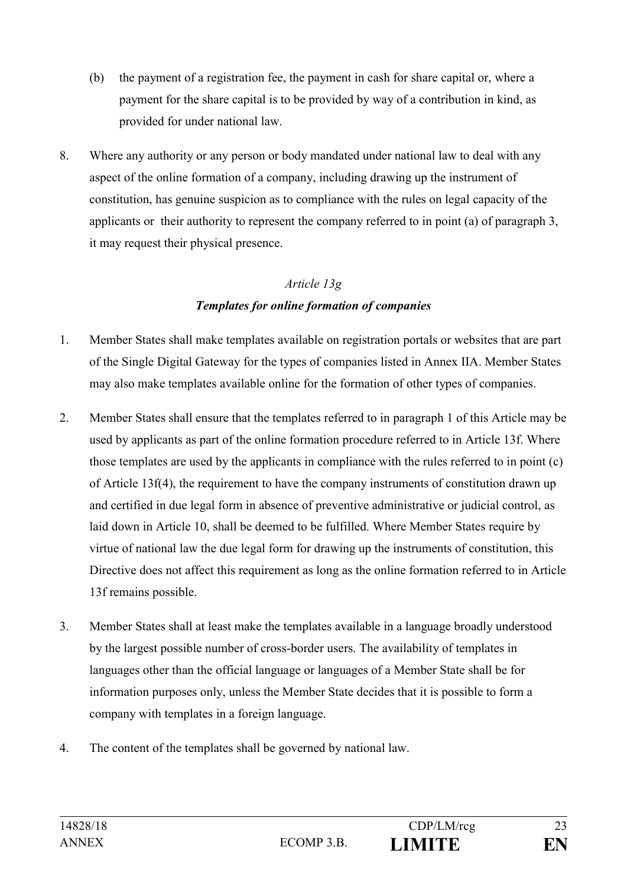- (b) the payment of a registration fee, the payment in cash for share capital or, where a payment for the share capital is to be provided by way of a contribution in kind, as provided for under national law.
- 8. Where any authority or any person or body mandated under national law to deal with any aspect of the online formation of a company, including drawing up the instrument of constitution, has genuine suspicion as to compliance with the rules on legal capacity of the applicants or their authority to represent the company referred to in point (a) of paragraph 3, it may request their physical presence.

#### *Article 13g*

# *Templates for online formation of companies*

- 1. Member States shall make templates available on registration portals or websites that are part of the Single Digital Gateway for the types of companies listed in Annex IIA. Member States may also make templates available online for the formation of other types of companies.
- 2. Member States shall ensure that the templates referred to in paragraph 1 of this Article may be used by applicants as part of the online formation procedure referred to in Article 13f. Where those templates are used by the applicants in compliance with the rules referred to in point (c) of Article 13f(4), the requirement to have the company instruments of constitution drawn up and certified in due legal form in absence of preventive administrative or judicial control, as laid down in Article 10, shall be deemed to be fulfilled. Where Member States require by virtue of national law the due legal form for drawing up the instruments of constitution, this Directive does not affect this requirement as long as the online formation referred to in Article 13f remains possible.
- 3. Member States shall at least make the templates available in a language broadly understood by the largest possible number of cross-border users. The availability of templates in languages other than the official language or languages of a Member State shall be for information purposes only, unless the Member State decides that it is possible to form a company with templates in a foreign language.
- 4. The content of the templates shall be governed by national law.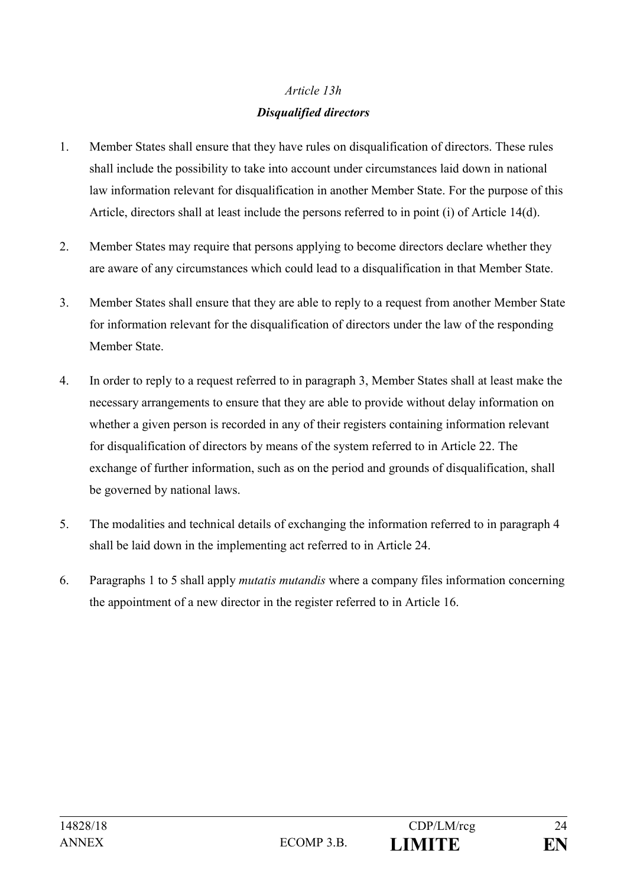# *Article 13h Disqualified directors*

- 1. Member States shall ensure that they have rules on disqualification of directors. These rules shall include the possibility to take into account under circumstances laid down in national law information relevant for disqualification in another Member State. For the purpose of this Article, directors shall at least include the persons referred to in point (i) of Article 14(d).
- 2. Member States may require that persons applying to become directors declare whether they are aware of any circumstances which could lead to a disqualification in that Member State.
- 3. Member States shall ensure that they are able to reply to a request from another Member State for information relevant for the disqualification of directors under the law of the responding Member State.
- 4. In order to reply to a request referred to in paragraph 3, Member States shall at least make the necessary arrangements to ensure that they are able to provide without delay information on whether a given person is recorded in any of their registers containing information relevant for disqualification of directors by means of the system referred to in Article 22. The exchange of further information, such as on the period and grounds of disqualification, shall be governed by national laws.
- 5. The modalities and technical details of exchanging the information referred to in paragraph 4 shall be laid down in the implementing act referred to in Article 24.
- 6. Paragraphs 1 to 5 shall apply *mutatis mutandis* where a company files information concerning the appointment of a new director in the register referred to in Article 16.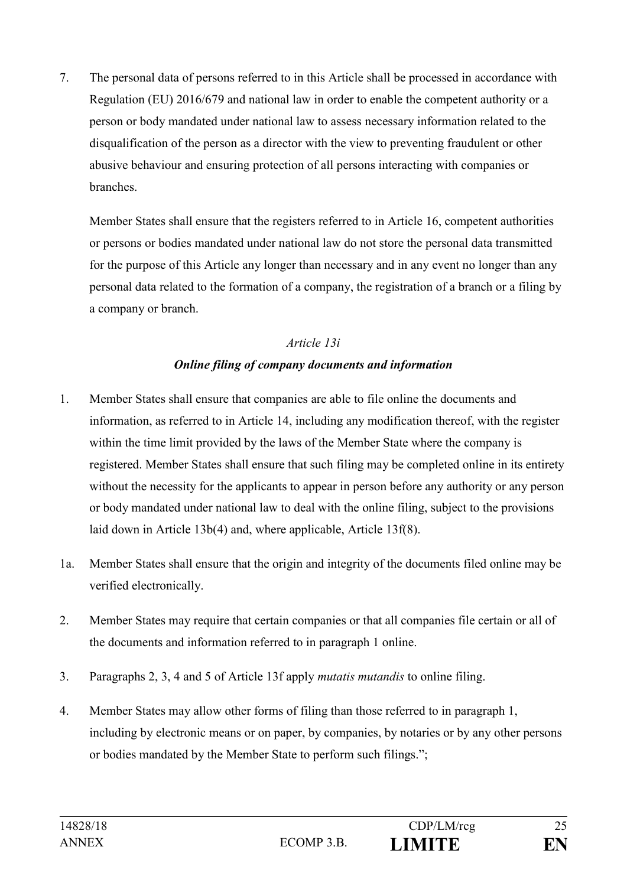7. The personal data of persons referred to in this Article shall be processed in accordance with Regulation (EU) 2016/679 and national law in order to enable the competent authority or a person or body mandated under national law to assess necessary information related to the disqualification of the person as a director with the view to preventing fraudulent or other abusive behaviour and ensuring protection of all persons interacting with companies or branches.

Member States shall ensure that the registers referred to in Article 16, competent authorities or persons or bodies mandated under national law do not store the personal data transmitted for the purpose of this Article any longer than necessary and in any event no longer than any personal data related to the formation of a company, the registration of a branch or a filing by a company or branch.

### *Article 13i*

# *Online filing of company documents and information*

- 1. Member States shall ensure that companies are able to file online the documents and information, as referred to in Article 14, including any modification thereof, with the register within the time limit provided by the laws of the Member State where the company is registered. Member States shall ensure that such filing may be completed online in its entirety without the necessity for the applicants to appear in person before any authority or any person or body mandated under national law to deal with the online filing, subject to the provisions laid down in Article 13b(4) and, where applicable, Article 13f(8).
- 1a. Member States shall ensure that the origin and integrity of the documents filed online may be verified electronically.
- 2. Member States may require that certain companies or that all companies file certain or all of the documents and information referred to in paragraph 1 online.
- 3. Paragraphs 2, 3, 4 and 5 of Article 13f apply *mutatis mutandis* to online filing.
- 4. Member States may allow other forms of filing than those referred to in paragraph 1, including by electronic means or on paper, by companies, by notaries or by any other persons or bodies mandated by the Member State to perform such filings.";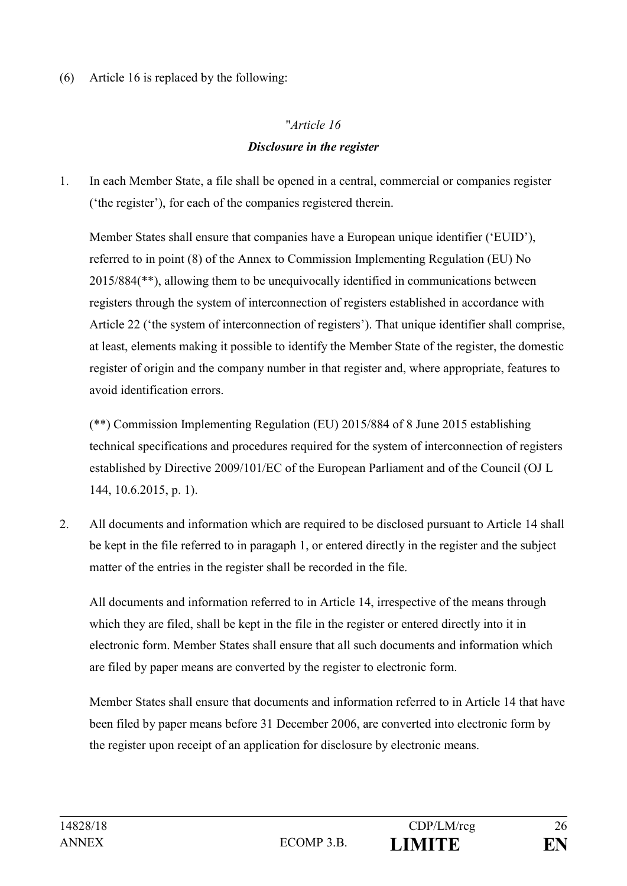(6) Article 16 is replaced by the following:

# "*Article 16 Disclosure in the register*

1. In each Member State, a file shall be opened in a central, commercial or companies register ('the register'), for each of the companies registered therein.

Member States shall ensure that companies have a European unique identifier ('EUID'), referred to in point (8) of the Annex to Commission Implementing Regulation (EU) No 2015/884(\*\*), allowing them to be unequivocally identified in communications between registers through the system of interconnection of registers established in accordance with Article 22 ('the system of interconnection of registers'). That unique identifier shall comprise, at least, elements making it possible to identify the Member State of the register, the domestic register of origin and the company number in that register and, where appropriate, features to avoid identification errors.

(\*\*) Commission Implementing Regulation (EU) 2015/884 of 8 June 2015 establishing technical specifications and procedures required for the system of interconnection of registers established by Directive 2009/101/EC of the European Parliament and of the Council (OJ L 144, 10.6.2015, p. 1).

2. All documents and information which are required to be disclosed pursuant to Article 14 shall be kept in the file referred to in paragaph 1, or entered directly in the register and the subject matter of the entries in the register shall be recorded in the file.

All documents and information referred to in Article 14, irrespective of the means through which they are filed, shall be kept in the file in the register or entered directly into it in electronic form. Member States shall ensure that all such documents and information which are filed by paper means are converted by the register to electronic form.

Member States shall ensure that documents and information referred to in Article 14 that have been filed by paper means before 31 December 2006, are converted into electronic form by the register upon receipt of an application for disclosure by electronic means.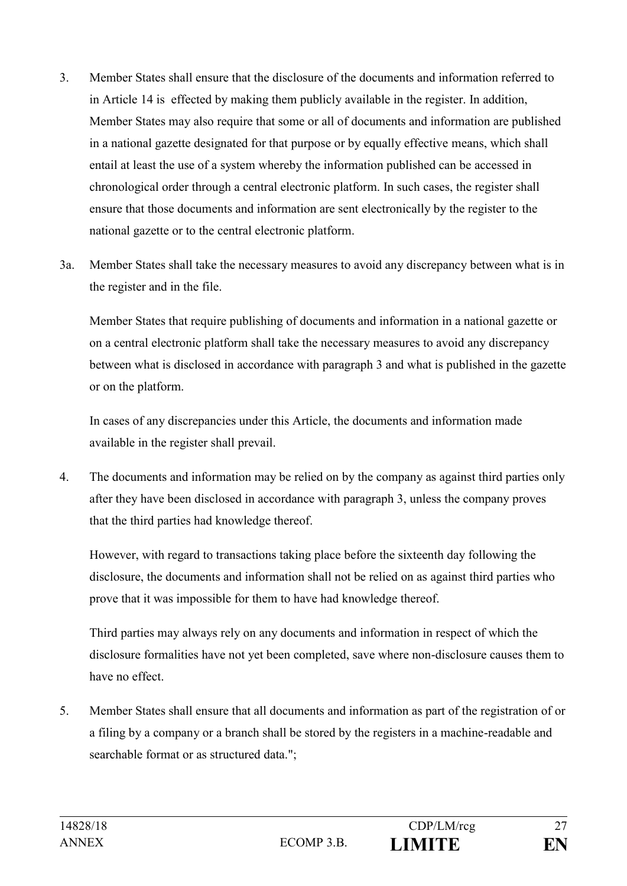- 3. Member States shall ensure that the disclosure of the documents and information referred to in Article 14 is effected by making them publicly available in the register. In addition, Member States may also require that some or all of documents and information are published in a national gazette designated for that purpose or by equally effective means, which shall entail at least the use of a system whereby the information published can be accessed in chronological order through a central electronic platform. In such cases, the register shall ensure that those documents and information are sent electronically by the register to the national gazette or to the central electronic platform.
- 3a. Member States shall take the necessary measures to avoid any discrepancy between what is in the register and in the file.

Member States that require publishing of documents and information in a national gazette or on a central electronic platform shall take the necessary measures to avoid any discrepancy between what is disclosed in accordance with paragraph 3 and what is published in the gazette or on the platform.

In cases of any discrepancies under this Article, the documents and information made available in the register shall prevail.

4. The documents and information may be relied on by the company as against third parties only after they have been disclosed in accordance with paragraph 3, unless the company proves that the third parties had knowledge thereof.

However, with regard to transactions taking place before the sixteenth day following the disclosure, the documents and information shall not be relied on as against third parties who prove that it was impossible for them to have had knowledge thereof.

Third parties may always rely on any documents and information in respect of which the disclosure formalities have not yet been completed, save where non-disclosure causes them to have no effect.

5. Member States shall ensure that all documents and information as part of the registration of or a filing by a company or a branch shall be stored by the registers in a machine-readable and searchable format or as structured data.";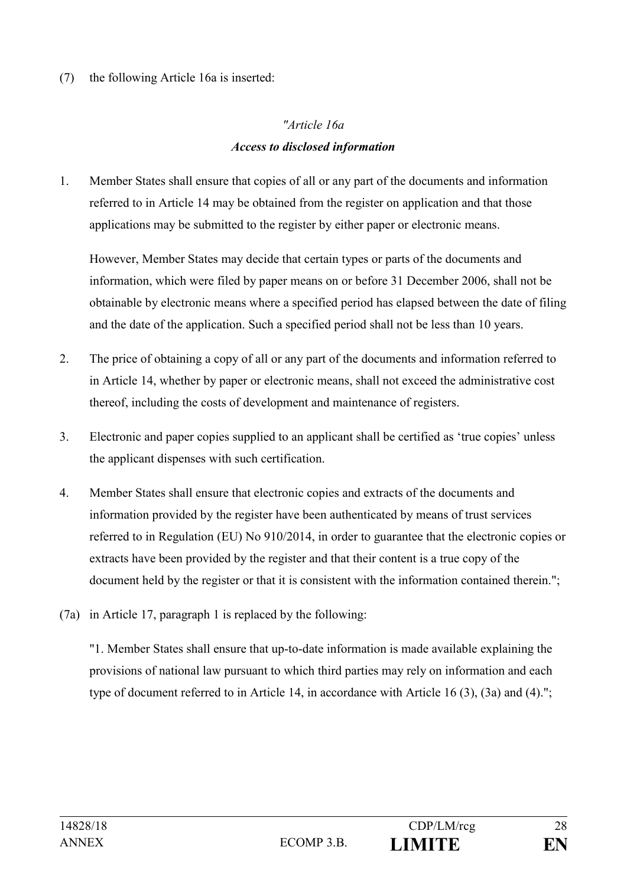(7) the following Article 16a is inserted:

# *"Article 16a Access to disclosed information*

1. Member States shall ensure that copies of all or any part of the documents and information referred to in Article 14 may be obtained from the register on application and that those applications may be submitted to the register by either paper or electronic means.

However, Member States may decide that certain types or parts of the documents and information, which were filed by paper means on or before 31 December 2006, shall not be obtainable by electronic means where a specified period has elapsed between the date of filing and the date of the application. Such a specified period shall not be less than 10 years.

- 2. The price of obtaining a copy of all or any part of the documents and information referred to in Article 14, whether by paper or electronic means, shall not exceed the administrative cost thereof, including the costs of development and maintenance of registers.
- 3. Electronic and paper copies supplied to an applicant shall be certified as 'true copies' unless the applicant dispenses with such certification.
- 4. Member States shall ensure that electronic copies and extracts of the documents and information provided by the register have been authenticated by means of trust services referred to in Regulation (EU) No 910/2014, in order to guarantee that the electronic copies or extracts have been provided by the register and that their content is a true copy of the document held by the register or that it is consistent with the information contained therein.";
- (7a) in Article 17, paragraph 1 is replaced by the following:

"1. Member States shall ensure that up-to-date information is made available explaining the provisions of national law pursuant to which third parties may rely on information and each type of document referred to in Article 14, in accordance with Article 16 (3), (3a) and (4).";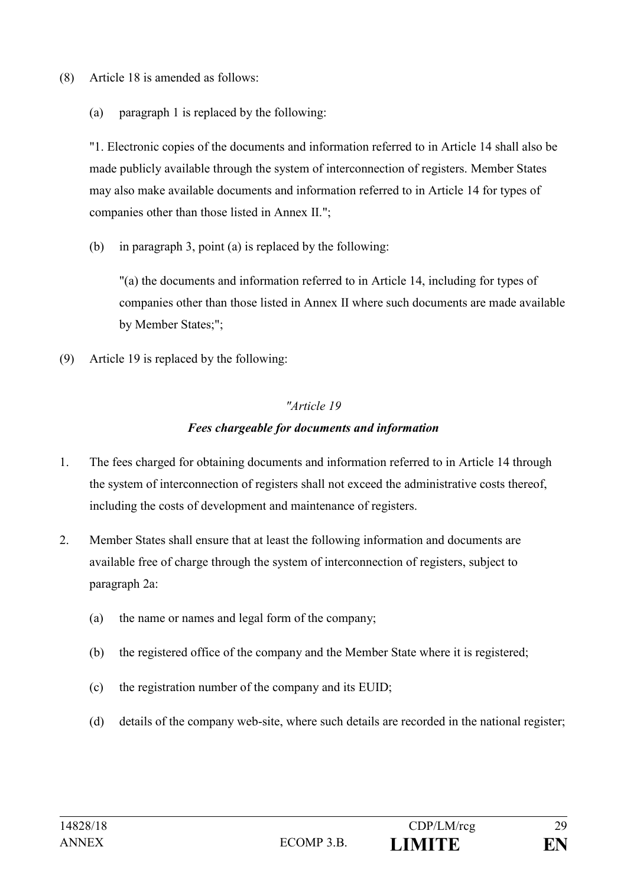- (8) Article 18 is amended as follows:
	- (a) paragraph 1 is replaced by the following:

"1. Electronic copies of the documents and information referred to in Article 14 shall also be made publicly available through the system of interconnection of registers. Member States may also make available documents and information referred to in Article 14 for types of companies other than those listed in Annex II.";

(b) in paragraph 3, point (a) is replaced by the following:

"(a) the documents and information referred to in Article 14, including for types of companies other than those listed in Annex II where such documents are made available by Member States;";

(9) Article 19 is replaced by the following:

### *"Article 19*

### *Fees chargeable for documents and information*

- 1. The fees charged for obtaining documents and information referred to in Article 14 through the system of interconnection of registers shall not exceed the administrative costs thereof, including the costs of development and maintenance of registers.
- 2. Member States shall ensure that at least the following information and documents are available free of charge through the system of interconnection of registers, subject to paragraph 2a:
	- (a) the name or names and legal form of the company;
	- (b) the registered office of the company and the Member State where it is registered;
	- (c) the registration number of the company and its EUID;
	- (d) details of the company web-site, where such details are recorded in the national register;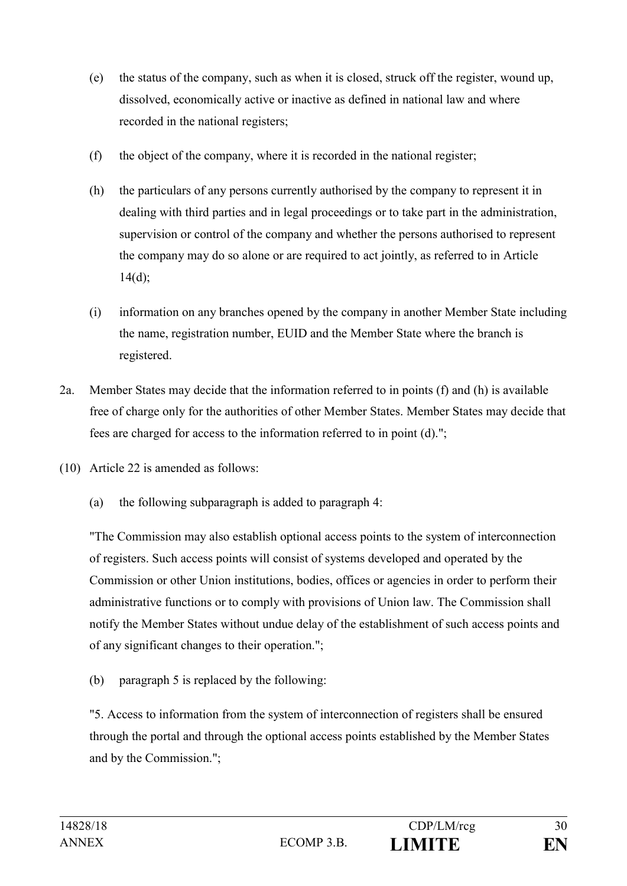- (e) the status of the company, such as when it is closed, struck off the register, wound up, dissolved, economically active or inactive as defined in national law and where recorded in the national registers;
- (f) the object of the company, where it is recorded in the national register;
- (h) the particulars of any persons currently authorised by the company to represent it in dealing with third parties and in legal proceedings or to take part in the administration, supervision or control of the company and whether the persons authorised to represent the company may do so alone or are required to act jointly, as referred to in Article  $14(d);$
- (i) information on any branches opened by the company in another Member State including the name, registration number, EUID and the Member State where the branch is registered.
- 2a. Member States may decide that the information referred to in points (f) and (h) is available free of charge only for the authorities of other Member States. Member States may decide that fees are charged for access to the information referred to in point (d).";
- (10) Article 22 is amended as follows:
	- (a) the following subparagraph is added to paragraph 4:

"The Commission may also establish optional access points to the system of interconnection of registers. Such access points will consist of systems developed and operated by the Commission or other Union institutions, bodies, offices or agencies in order to perform their administrative functions or to comply with provisions of Union law. The Commission shall notify the Member States without undue delay of the establishment of such access points and of any significant changes to their operation.";

(b) paragraph 5 is replaced by the following:

"5. Access to information from the system of interconnection of registers shall be ensured through the portal and through the optional access points established by the Member States and by the Commission.";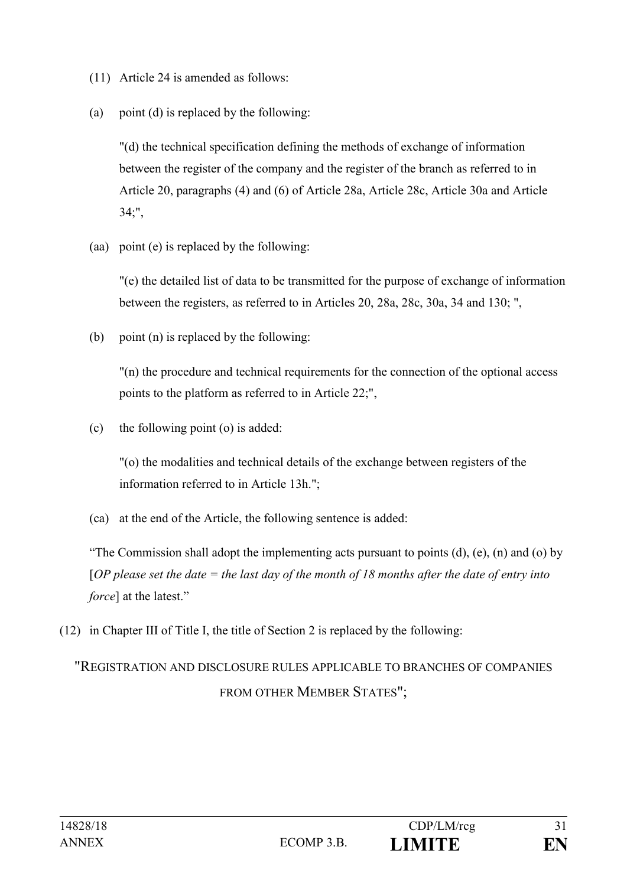- (11) Article 24 is amended as follows:
- (a) point (d) is replaced by the following:

"(d) the technical specification defining the methods of exchange of information between the register of the company and the register of the branch as referred to in Article 20, paragraphs (4) and (6) of Article 28a, Article 28c, Article 30a and Article 34;",

(aa) point (e) is replaced by the following:

"(e) the detailed list of data to be transmitted for the purpose of exchange of information between the registers, as referred to in Articles 20, 28a, 28c, 30a, 34 and 130; ",

(b) point (n) is replaced by the following:

"(n) the procedure and technical requirements for the connection of the optional access points to the platform as referred to in Article 22;",

(c) the following point (o) is added:

"(o) the modalities and technical details of the exchange between registers of the information referred to in Article 13h.";

(ca) at the end of the Article, the following sentence is added:

"The Commission shall adopt the implementing acts pursuant to points  $(d)$ ,  $(e)$ ,  $(n)$  and  $(o)$  by [*OP please set the date = the last day of the month of 18 months after the date of entry into force*] at the latest."

(12) in Chapter III of Title I, the title of Section 2 is replaced by the following:

# "REGISTRATION AND DISCLOSURE RULES APPLICABLE TO BRANCHES OF COMPANIES FROM OTHER MEMBER STATES";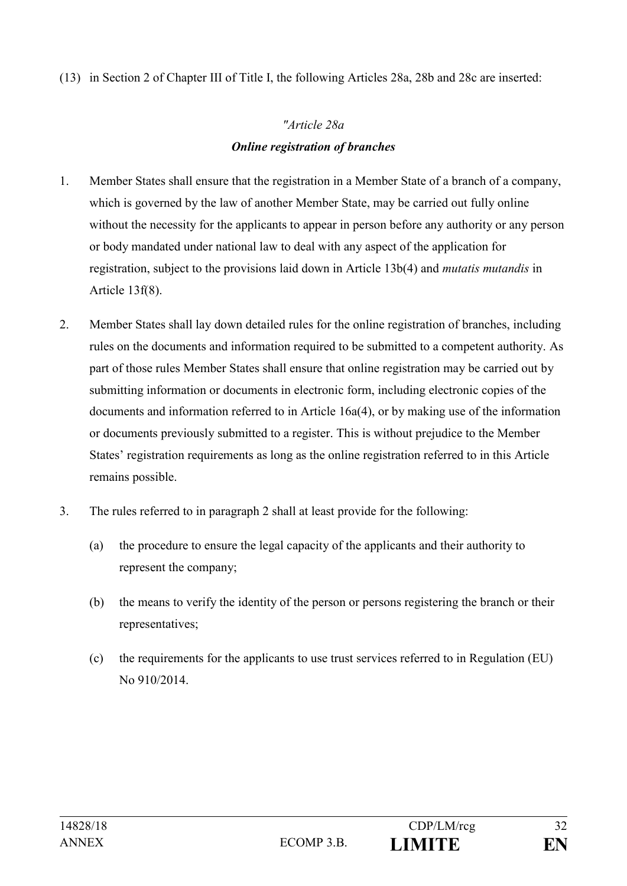(13) in Section 2 of Chapter III of Title I, the following Articles 28a, 28b and 28c are inserted:

# *"Article 28a Online registration of branches*

- 1. Member States shall ensure that the registration in a Member State of a branch of a company, which is governed by the law of another Member State, may be carried out fully online without the necessity for the applicants to appear in person before any authority or any person or body mandated under national law to deal with any aspect of the application for registration, subject to the provisions laid down in Article 13b(4) and *mutatis mutandis* in Article 13f(8).
- 2. Member States shall lay down detailed rules for the online registration of branches, including rules on the documents and information required to be submitted to a competent authority. As part of those rules Member States shall ensure that online registration may be carried out by submitting information or documents in electronic form, including electronic copies of the documents and information referred to in Article 16a(4), or by making use of the information or documents previously submitted to a register. This is without prejudice to the Member States' registration requirements as long as the online registration referred to in this Article remains possible.
- 3. The rules referred to in paragraph 2 shall at least provide for the following:
	- (a) the procedure to ensure the legal capacity of the applicants and their authority to represent the company;
	- (b) the means to verify the identity of the person or persons registering the branch or their representatives;
	- (c) the requirements for the applicants to use trust services referred to in Regulation (EU) No 910/2014.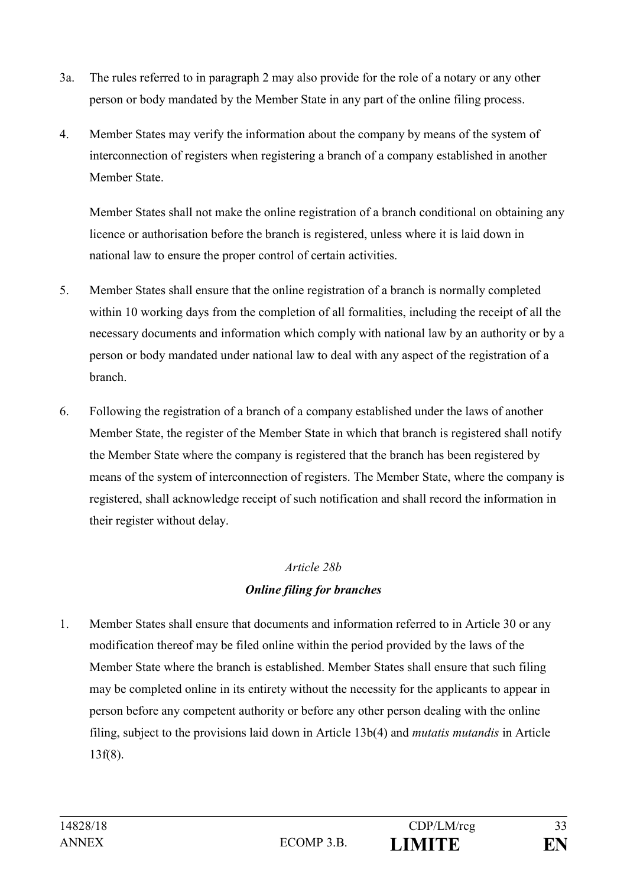- 3a. The rules referred to in paragraph 2 may also provide for the role of a notary or any other person or body mandated by the Member State in any part of the online filing process.
- 4. Member States may verify the information about the company by means of the system of interconnection of registers when registering a branch of a company established in another Member State.

Member States shall not make the online registration of a branch conditional on obtaining any licence or authorisation before the branch is registered, unless where it is laid down in national law to ensure the proper control of certain activities.

- 5. Member States shall ensure that the online registration of a branch is normally completed within 10 working days from the completion of all formalities, including the receipt of all the necessary documents and information which comply with national law by an authority or by a person or body mandated under national law to deal with any aspect of the registration of a branch.
- 6. Following the registration of a branch of a company established under the laws of another Member State, the register of the Member State in which that branch is registered shall notify the Member State where the company is registered that the branch has been registered by means of the system of interconnection of registers. The Member State, where the company is registered, shall acknowledge receipt of such notification and shall record the information in their register without delay.

# *Article 28b Online filing for branches*

1. Member States shall ensure that documents and information referred to in Article 30 or any modification thereof may be filed online within the period provided by the laws of the Member State where the branch is established. Member States shall ensure that such filing may be completed online in its entirety without the necessity for the applicants to appear in person before any competent authority or before any other person dealing with the online filing, subject to the provisions laid down in Article 13b(4) and *mutatis mutandis* in Article 13f(8).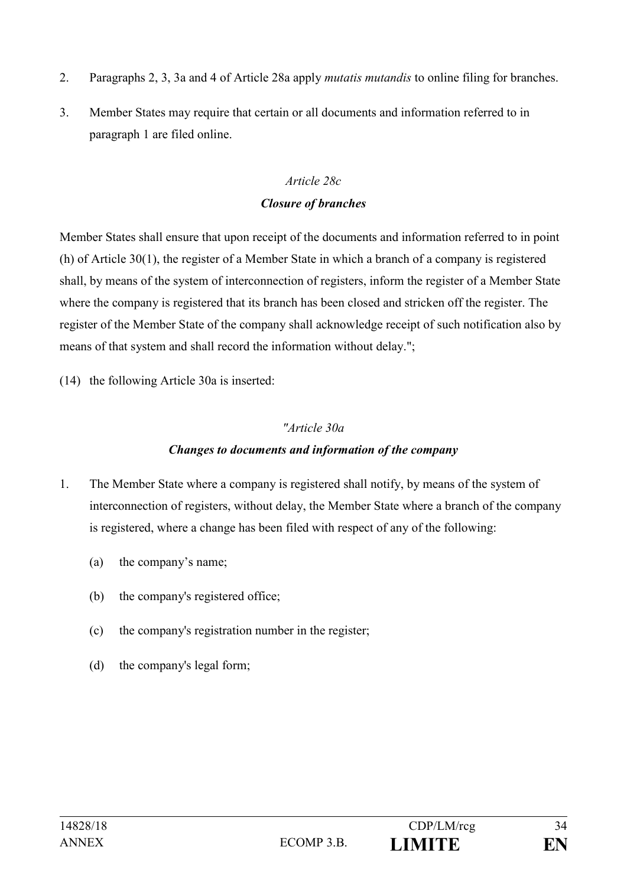- 2. Paragraphs 2, 3, 3a and 4 of Article 28a apply *mutatis mutandis* to online filing for branches.
- 3. Member States may require that certain or all documents and information referred to in paragraph 1 are filed online.

#### *Article 28c*

#### *Closure of branches*

Member States shall ensure that upon receipt of the documents and information referred to in point (h) of Article 30(1), the register of a Member State in which a branch of a company is registered shall, by means of the system of interconnection of registers, inform the register of a Member State where the company is registered that its branch has been closed and stricken off the register. The register of the Member State of the company shall acknowledge receipt of such notification also by means of that system and shall record the information without delay.";

(14) the following Article 30a is inserted:

### *"Article 30a*

### *Changes to documents and information of the company*

- 1. The Member State where a company is registered shall notify, by means of the system of interconnection of registers, without delay, the Member State where a branch of the company is registered, where a change has been filed with respect of any of the following:
	- (a) the company's name;
	- (b) the company's registered office;
	- (c) the company's registration number in the register;
	- (d) the company's legal form;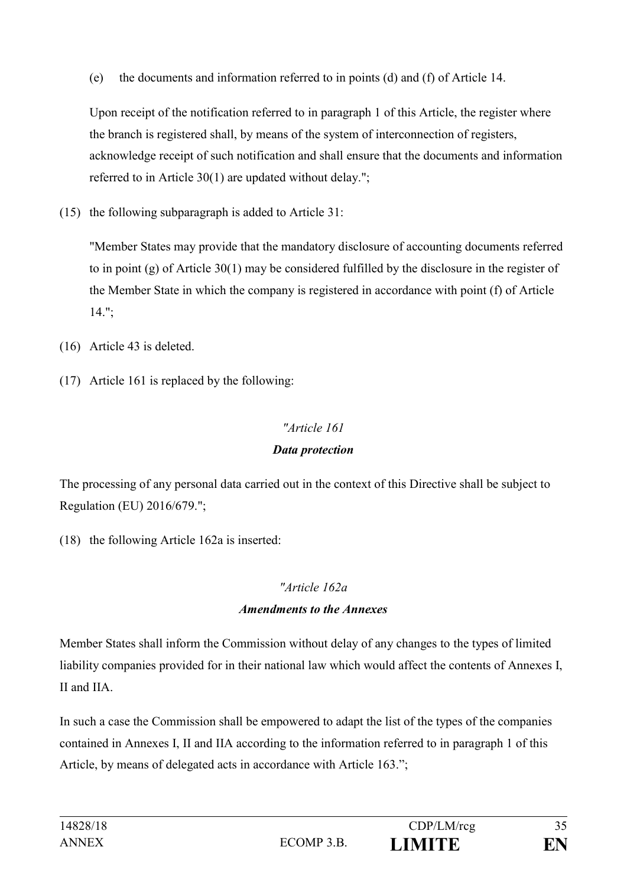(e) the documents and information referred to in points (d) and (f) of Article 14.

Upon receipt of the notification referred to in paragraph 1 of this Article, the register where the branch is registered shall, by means of the system of interconnection of registers, acknowledge receipt of such notification and shall ensure that the documents and information referred to in Article 30(1) are updated without delay.";

(15) the following subparagraph is added to Article 31:

"Member States may provide that the mandatory disclosure of accounting documents referred to in point (g) of Article  $30(1)$  may be considered fulfilled by the disclosure in the register of the Member State in which the company is registered in accordance with point (f) of Article 14.";

- (16) Article 43 is deleted.
- (17) Article 161 is replaced by the following:

# *"Article 161*

# *Data protection*

The processing of any personal data carried out in the context of this Directive shall be subject to Regulation (EU) 2016/679.";

(18) the following Article 162a is inserted:

# *"Article 162a*

# *Amendments to the Annexes*

Member States shall inform the Commission without delay of any changes to the types of limited liability companies provided for in their national law which would affect the contents of Annexes I, II and IIA.

In such a case the Commission shall be empowered to adapt the list of the types of the companies contained in Annexes I, II and IIA according to the information referred to in paragraph 1 of this Article, by means of delegated acts in accordance with Article 163.";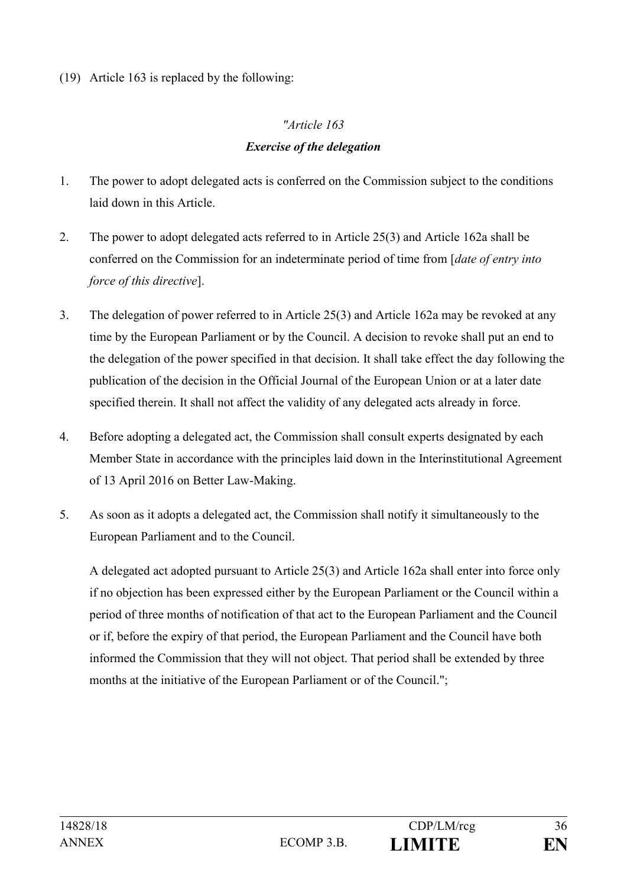(19) Article 163 is replaced by the following:

# *"Article 163 Exercise of the delegation*

- 1. The power to adopt delegated acts is conferred on the Commission subject to the conditions laid down in this Article.
- 2. The power to adopt delegated acts referred to in Article 25(3) and Article 162a shall be conferred on the Commission for an indeterminate period of time from [*date of entry into force of this directive*].
- 3. The delegation of power referred to in Article 25(3) and Article 162a may be revoked at any time by the European Parliament or by the Council. A decision to revoke shall put an end to the delegation of the power specified in that decision. It shall take effect the day following the publication of the decision in the Official Journal of the European Union or at a later date specified therein. It shall not affect the validity of any delegated acts already in force.
- 4. Before adopting a delegated act, the Commission shall consult experts designated by each Member State in accordance with the principles laid down in the Interinstitutional Agreement of 13 April 2016 on Better Law-Making.
- 5. As soon as it adopts a delegated act, the Commission shall notify it simultaneously to the European Parliament and to the Council.

A delegated act adopted pursuant to Article 25(3) and Article 162a shall enter into force only if no objection has been expressed either by the European Parliament or the Council within a period of three months of notification of that act to the European Parliament and the Council or if, before the expiry of that period, the European Parliament and the Council have both informed the Commission that they will not object. That period shall be extended by three months at the initiative of the European Parliament or of the Council.";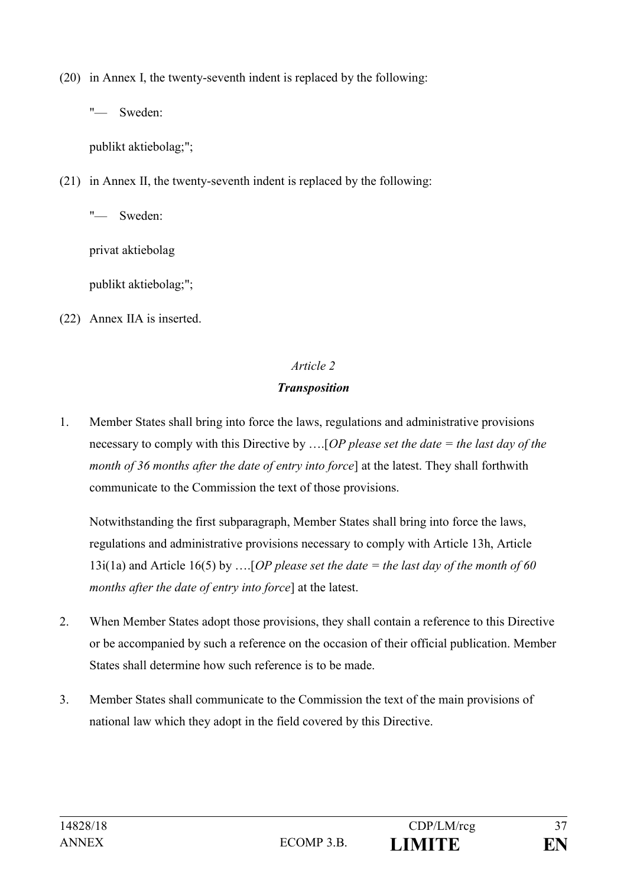(20) in Annex I, the twenty-seventh indent is replaced by the following:

"— Sweden:

publikt aktiebolag;";

(21) in Annex II, the twenty-seventh indent is replaced by the following:

Sweden<sup>-</sup>

privat aktiebolag

publikt aktiebolag;";

(22) Annex IIA is inserted.

# *Article 2*

# *Transposition*

1. Member States shall bring into force the laws, regulations and administrative provisions necessary to comply with this Directive by ….[*OP please set the date = the last day of the month of 36 months after the date of entry into force*] at the latest. They shall forthwith communicate to the Commission the text of those provisions.

Notwithstanding the first subparagraph, Member States shall bring into force the laws, regulations and administrative provisions necessary to comply with Article 13h, Article 13i(1a) and Article 16(5) by ….[*OP please set the date = the last day of the month of 60 months after the date of entry into force*] at the latest.

- 2. When Member States adopt those provisions, they shall contain a reference to this Directive or be accompanied by such a reference on the occasion of their official publication. Member States shall determine how such reference is to be made.
- 3. Member States shall communicate to the Commission the text of the main provisions of national law which they adopt in the field covered by this Directive.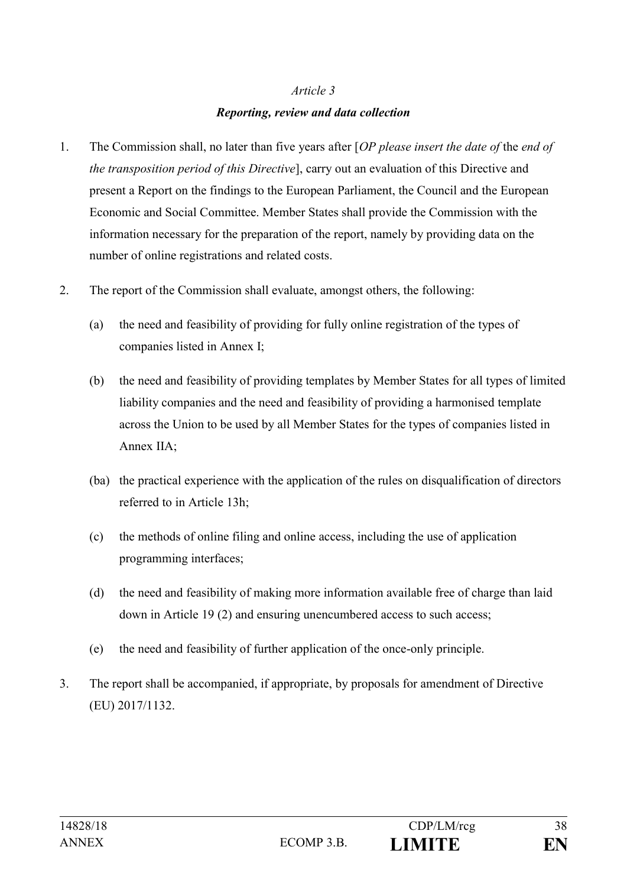### *Article 3*

### *Reporting, review and data collection*

- 1. The Commission shall, no later than five years after [*OP please insert the date of* the *end of the transposition period of this Directive*], carry out an evaluation of this Directive and present a Report on the findings to the European Parliament, the Council and the European Economic and Social Committee. Member States shall provide the Commission with the information necessary for the preparation of the report, namely by providing data on the number of online registrations and related costs.
- 2. The report of the Commission shall evaluate, amongst others, the following:
	- (a) the need and feasibility of providing for fully online registration of the types of companies listed in Annex I;
	- (b) the need and feasibility of providing templates by Member States for all types of limited liability companies and the need and feasibility of providing a harmonised template across the Union to be used by all Member States for the types of companies listed in Annex IIA;
	- (ba) the practical experience with the application of the rules on disqualification of directors referred to in Article 13h;
	- (c) the methods of online filing and online access, including the use of application programming interfaces;
	- (d) the need and feasibility of making more information available free of charge than laid down in Article 19 (2) and ensuring unencumbered access to such access;
	- (e) the need and feasibility of further application of the once-only principle.
- 3. The report shall be accompanied, if appropriate, by proposals for amendment of Directive (EU) 2017/1132.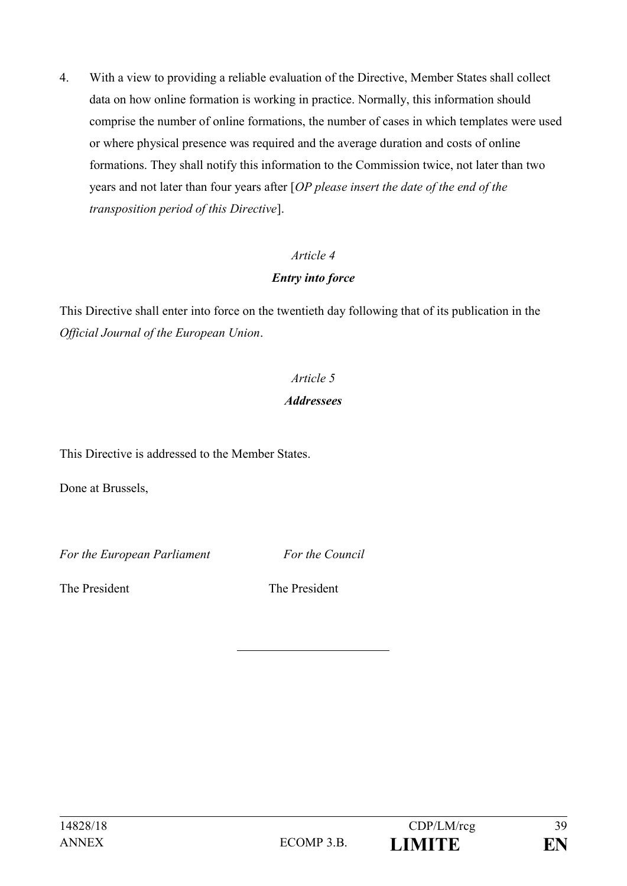4. With a view to providing a reliable evaluation of the Directive, Member States shall collect data on how online formation is working in practice. Normally, this information should comprise the number of online formations, the number of cases in which templates were used or where physical presence was required and the average duration and costs of online formations. They shall notify this information to the Commission twice, not later than two years and not later than four years after [*OP please insert the date of the end of the transposition period of this Directive*].

# *Article 4*

### *Entry into force*

This Directive shall enter into force on the twentieth day following that of its publication in the *Official Journal of the European Union*.

# *Article 5*

### *Addressees*

This Directive is addressed to the Member States.

Done at Brussels,

*For the European Parliament For the Council*

The President The President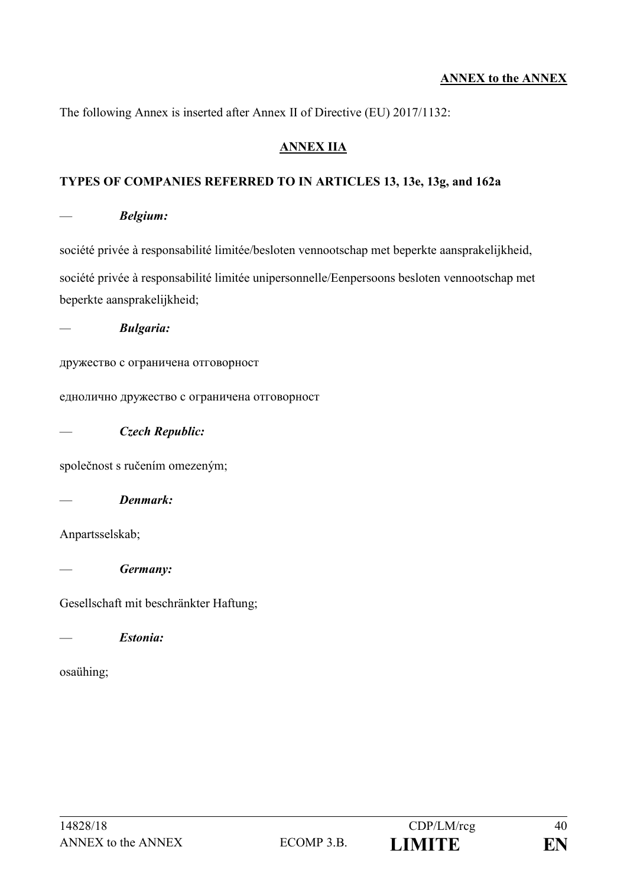#### **ANNEX to the ANNEX**

The following Annex is inserted after Annex II of Directive (EU) 2017/1132:

#### **ANNEX IIA**

#### **TYPES OF COMPANIES REFERRED TO IN ARTICLES 13, 13e, 13g, and 162a**

— *Belgium:*

société privée à responsabilité limitée/besloten vennootschap met beperkte aansprakelijkheid, société privée à responsabilité limitée unipersonnelle/Eenpersoons besloten vennootschap met beperkte aansprakelijkheid;

*— Bulgaria:*

дружество с ограничена отговорност

еднолично дружество с ограничена отговорност

— *Czech Republic:*

společnost s ručením omezeným;

— *Denmark:*

Anpartsselskab;

— *Germany:*

Gesellschaft mit beschränkter Haftung;

— *Estonia:*

osaühing;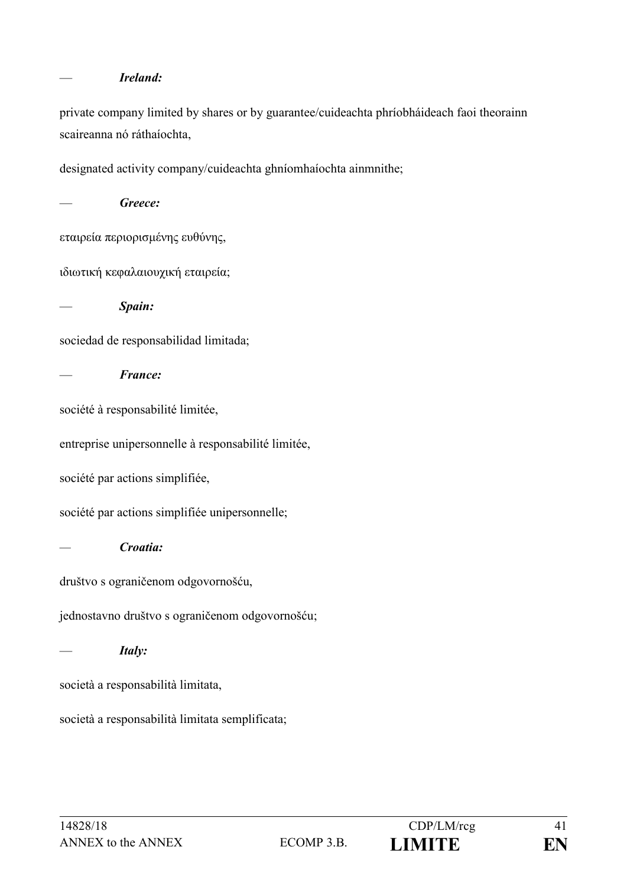#### — *Ireland:*

private company limited by shares or by guarantee/cuideachta phríobháideach faoi theorainn scaireanna nó ráthaíochta,

designated activity company/cuideachta ghníomhaíochta ainmnithe;

Greece: εταιρεία περιορισμένης ευθύνης, ιδιωτική κεφαλαιουχική εταιρεία; — *Spain:* sociedad de responsabilidad limitada; — *France:* société à responsabilité limitée, entreprise unipersonnelle à responsabilité limitée, société par actions simplifiée, société par actions simplifiée unipersonnelle; *— Croatia:* društvo s ograničenom odgovornošću, jednostavno društvo s ograničenom odgovornošću; — *Italy:* società a responsabilità limitata, società a responsabilità limitata semplificata;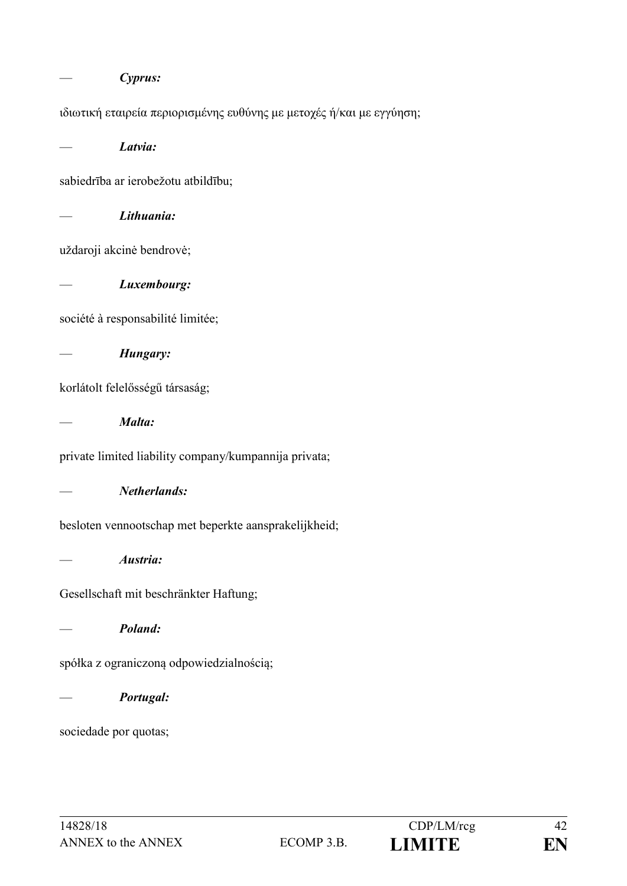|                                                                      | Cyprus:      |  |
|----------------------------------------------------------------------|--------------|--|
| ιδιωτική εταιρεία περιορισμένης ευθύνης με μετοχές ή/και με εγγύηση; |              |  |
|                                                                      | Latvia:      |  |
| sabiedrība ar ierobežotu atbildību;                                  |              |  |
|                                                                      | Lithuania:   |  |
| uždaroji akcinė bendrovė;                                            |              |  |
|                                                                      | Luxembourg:  |  |
| société à responsabilité limitée;                                    |              |  |
|                                                                      | Hungary:     |  |
| korlátolt felelősségű társaság;                                      |              |  |
|                                                                      | Malta:       |  |
| private limited liability company/kumpannija privata;                |              |  |
|                                                                      | Netherlands: |  |
| besloten vennootschap met beperkte aansprakelijkheid;                |              |  |
|                                                                      | Austria:     |  |
| Gesellschaft mit beschränkter Haftung;                               |              |  |
|                                                                      | Poland:      |  |
| spółka z ograniczoną odpowiedzialnością;                             |              |  |
|                                                                      | Portugal:    |  |
| sociedade por quotas;                                                |              |  |
|                                                                      |              |  |
|                                                                      |              |  |